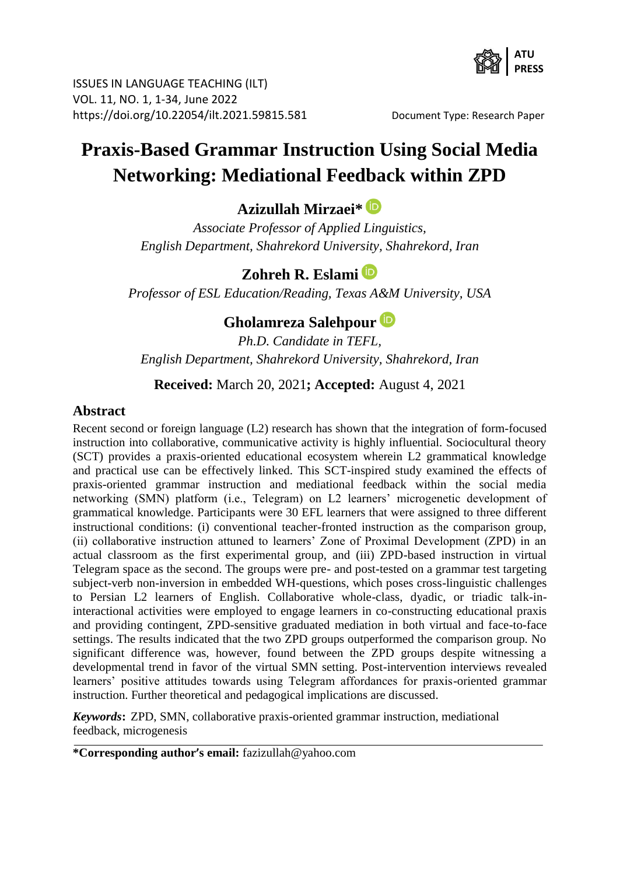

ISSUES IN LANGUAGE TEACHING (ILT) VOL. 11, NO. 1, 1-34, June 2022 https://doi.org/10.22054/ilt.2021.59815.581 Document Type: Research Paper

# **Praxis-Based Grammar Instruction Using Social Media Networking: Mediational Feedback within ZPD**

**Azizullah Mirzaei\***

*Associate Professor of Applied Linguistics, English Department, Shahrekord University, Shahrekord, Iran*

# **Zohreh R. Eslami**

*Professor of ESL Education/Reading, Texas A&M University, USA*

# **Gholamreza Salehpour**

*Ph.D. Candidate in TEFL, English Department, Shahrekord University, Shahrekord, Iran*

**Received:** March 20, 2021**; Accepted:** August 4, 2021

### **Abstract**

Recent second or foreign language (L2) research has shown that the integration of form-focused instruction into collaborative, communicative activity is highly influential. Sociocultural theory (SCT) provides a praxis-oriented educational ecosystem wherein L2 grammatical knowledge and practical use can be effectively linked. This SCT-inspired study examined the effects of praxis-oriented grammar instruction and mediational feedback within the social media networking (SMN) platform (i.e., Telegram) on L2 learners' microgenetic development of grammatical knowledge. Participants were 30 EFL learners that were assigned to three different instructional conditions: (i) conventional teacher-fronted instruction as the comparison group, (ii) collaborative instruction attuned to learners' Zone of Proximal Development (ZPD) in an actual classroom as the first experimental group, and (iii) ZPD-based instruction in virtual Telegram space as the second. The groups were pre- and post-tested on a grammar test targeting subject-verb non-inversion in embedded WH-questions, which poses cross-linguistic challenges to Persian L2 learners of English. Collaborative whole-class, dyadic, or triadic talk-ininteractional activities were employed to engage learners in co-constructing educational praxis and providing contingent, ZPD-sensitive graduated mediation in both virtual and face-to-face settings. The results indicated that the two ZPD groups outperformed the comparison group. No significant difference was, however, found between the ZPD groups despite witnessing a developmental trend in favor of the virtual SMN setting. Post-intervention interviews revealed learners' positive attitudes towards using Telegram affordances for praxis-oriented grammar instruction. Further theoretical and pedagogical implications are discussed.

*Keywords***:** ZPD, SMN, collaborative praxis-oriented grammar instruction, mediational feedback, microgenesis

**\*Corresponding author's email:** fazizullah@yahoo.com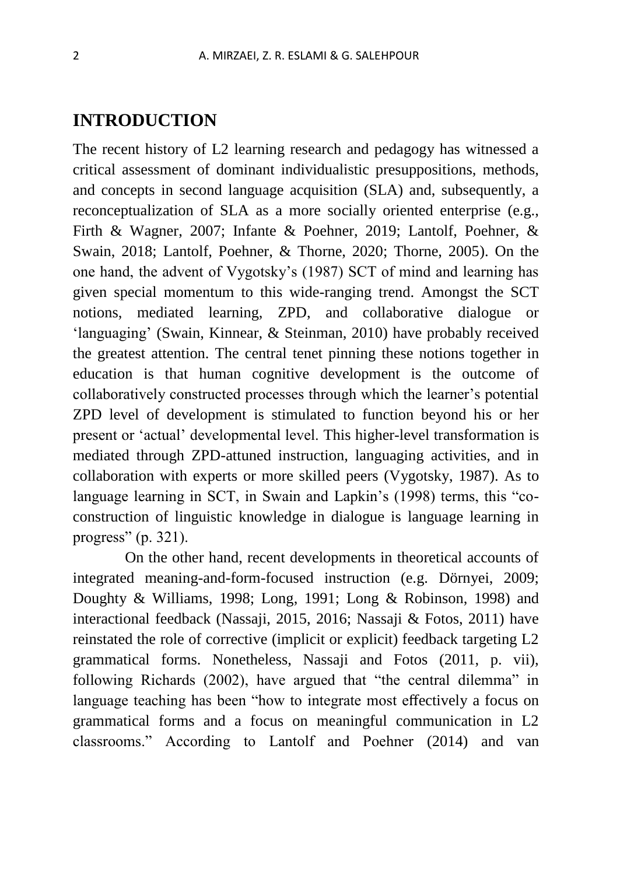# **INTRODUCTION**

The recent history of L2 learning research and pedagogy has witnessed a critical assessment of dominant individualistic presuppositions, methods, and concepts in second language acquisition (SLA) and, subsequently, a reconceptualization of SLA as a more socially oriented enterprise (e.g., Firth & Wagner, 2007; Infante & Poehner, 2019; Lantolf, Poehner, & Swain, 2018; Lantolf, Poehner, & Thorne, 2020; Thorne, 2005). On the one hand, the advent of Vygotsky's (1987) SCT of mind and learning has given special momentum to this wide-ranging trend. Amongst the SCT notions, mediated learning, ZPD, and collaborative dialogue or 'languaging' (Swain, Kinnear, & Steinman, 2010) have probably received the greatest attention. The central tenet pinning these notions together in education is that human cognitive development is the outcome of collaboratively constructed processes through which the learner's potential ZPD level of development is stimulated to function beyond his or her present or 'actual' developmental level. This higher-level transformation is mediated through ZPD-attuned instruction, languaging activities, and in collaboration with experts or more skilled peers (Vygotsky, 1987). As to language learning in SCT, in Swain and Lapkin's (1998) terms, this "coconstruction of linguistic knowledge in dialogue is language learning in progress" (p. 321).

On the other hand, recent developments in theoretical accounts of integrated meaning-and-form-focused instruction (e.g. Dörnyei, 2009; Doughty & Williams, 1998; Long, 1991; Long & Robinson, 1998) and interactional feedback (Nassaji, 2015, 2016; Nassaji & Fotos, 2011) have reinstated the role of corrective (implicit or explicit) feedback targeting L2 grammatical forms. Nonetheless, Nassaji and Fotos (2011, p. vii), following Richards (2002), have argued that "the central dilemma" in language teaching has been "how to integrate most effectively a focus on grammatical forms and a focus on meaningful communication in L2 classrooms." According to Lantolf and Poehner (2014) and van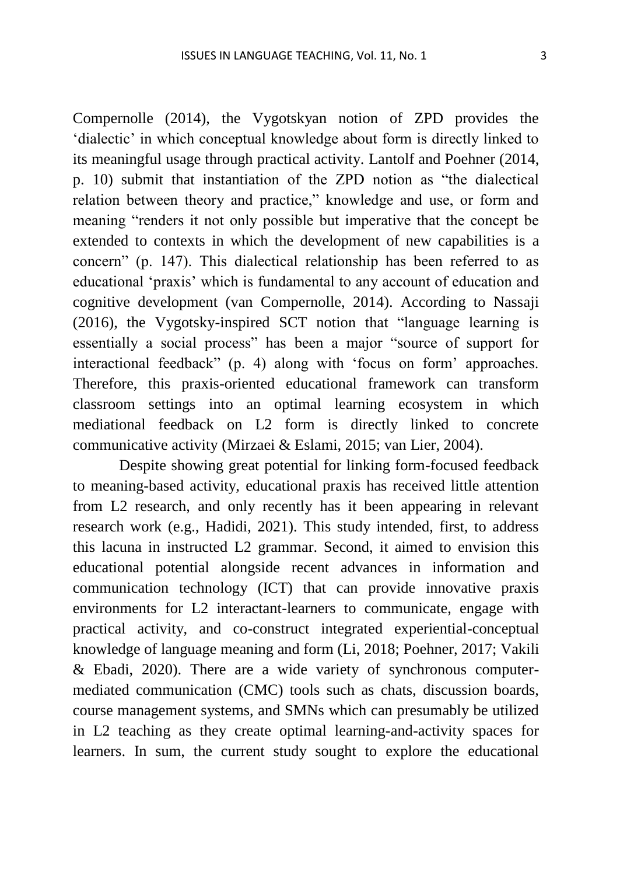Compernolle (2014), the Vygotskyan notion of ZPD provides the 'dialectic' in which conceptual knowledge about form is directly linked to its meaningful usage through practical activity. Lantolf and Poehner (2014, p. 10) submit that instantiation of the ZPD notion as "the dialectical relation between theory and practice," knowledge and use, or form and meaning "renders it not only possible but imperative that the concept be extended to contexts in which the development of new capabilities is a concern" (p. 147). This dialectical relationship has been referred to as educational 'praxis' which is fundamental to any account of education and cognitive development (van Compernolle, 2014). According to Nassaji (2016), the Vygotsky-inspired SCT notion that "language learning is essentially a social process" has been a major "source of support for interactional feedback" (p. 4) along with 'focus on form' approaches. Therefore, this praxis-oriented educational framework can transform classroom settings into an optimal learning ecosystem in which mediational feedback on L2 form is directly linked to concrete communicative activity (Mirzaei & Eslami, 2015; van Lier, 2004).

Despite showing great potential for linking form-focused feedback to meaning-based activity, educational praxis has received little attention from L2 research, and only recently has it been appearing in relevant research work (e.g., Hadidi, 2021). This study intended, first, to address this lacuna in instructed L2 grammar. Second, it aimed to envision this educational potential alongside recent advances in information and communication technology (ICT) that can provide innovative praxis environments for L2 interactant-learners to communicate, engage with practical activity, and co-construct integrated experiential-conceptual knowledge of language meaning and form (Li, 2018; Poehner, 2017; Vakili & Ebadi, 2020). There are a wide variety of synchronous computermediated communication (CMC) tools such as chats, discussion boards, course management systems, and SMNs which can presumably be utilized in L2 teaching as they create optimal learning-and-activity spaces for learners. In sum, the current study sought to explore the educational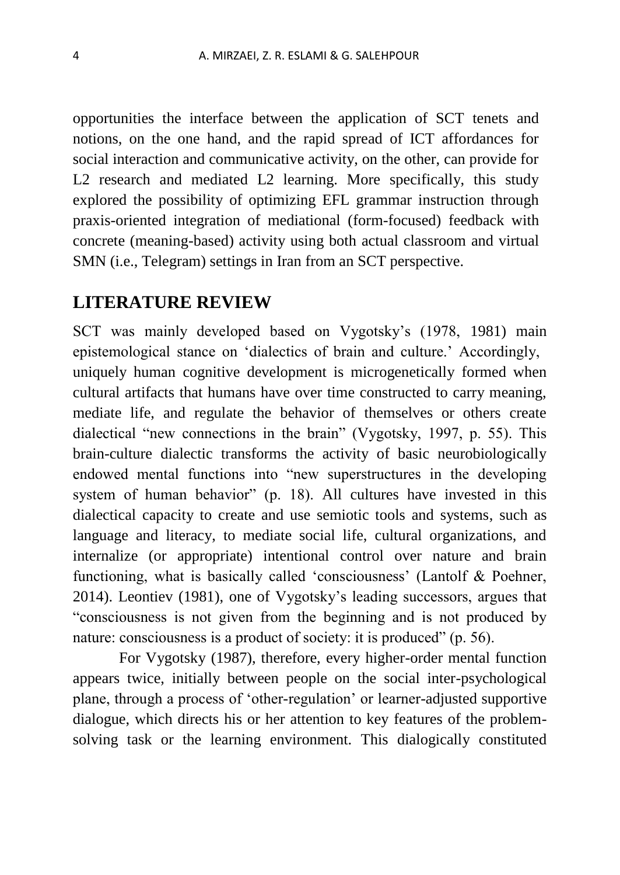opportunities the interface between the application of SCT tenets and notions, on the one hand, and the rapid spread of ICT affordances for social interaction and communicative activity, on the other, can provide for L<sub>2</sub> research and mediated L<sub>2</sub> learning. More specifically, this study explored the possibility of optimizing EFL grammar instruction through praxis-oriented integration of mediational (form-focused) feedback with concrete (meaning-based) activity using both actual classroom and virtual SMN (i.e., Telegram) settings in Iran from an SCT perspective.

# **LITERATURE REVIEW**

SCT was mainly developed based on Vygotsky's (1978, 1981) main epistemological stance on 'dialectics of brain and culture.' Accordingly, uniquely human cognitive development is microgenetically formed when cultural artifacts that humans have over time constructed to carry meaning, mediate life, and regulate the behavior of themselves or others create dialectical "new connections in the brain" (Vygotsky, 1997, p. 55). This brain-culture dialectic transforms the activity of basic neurobiologically endowed mental functions into "new superstructures in the developing system of human behavior" (p. 18). All cultures have invested in this dialectical capacity to create and use semiotic tools and systems, such as language and literacy, to mediate social life, cultural organizations, and internalize (or appropriate) intentional control over nature and brain functioning, what is basically called 'consciousness' (Lantolf & Poehner, 2014). Leontiev (1981), one of Vygotsky's leading successors, argues that "consciousness is not given from the beginning and is not produced by nature: consciousness is a product of society: it is produced" (p. 56).

For Vygotsky (1987), therefore, every higher-order mental function appears twice, initially between people on the social inter-psychological plane, through a process of 'other-regulation' or learner-adjusted supportive dialogue, which directs his or her attention to key features of the problemsolving task or the learning environment. This dialogically constituted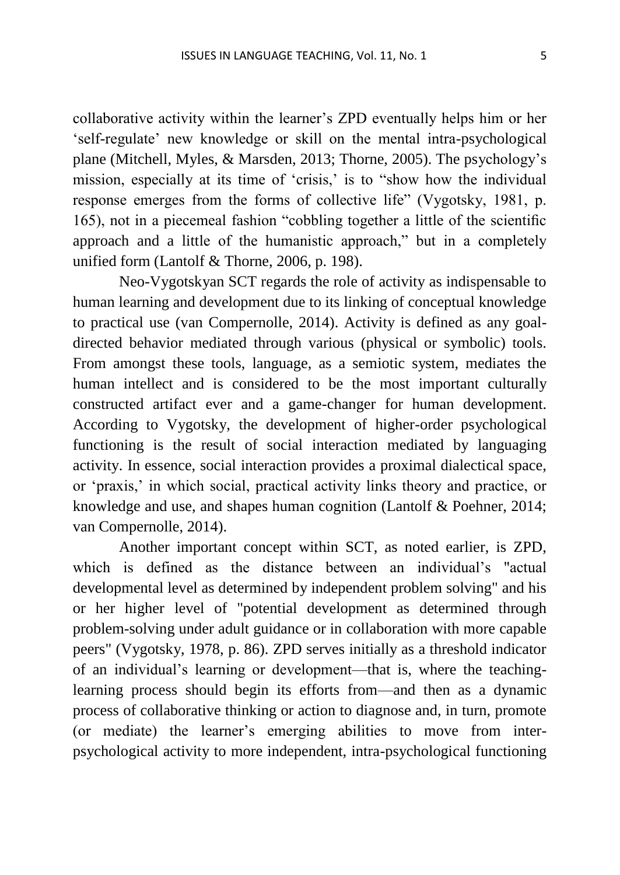collaborative activity within the learner's ZPD eventually helps him or her 'self-regulate' new knowledge or skill on the mental intra-psychological plane (Mitchell, Myles, & Marsden, 2013; Thorne, 2005). The psychology's mission, especially at its time of 'crisis,' is to "show how the individual response emerges from the forms of collective life" (Vygotsky, 1981, p. 165), not in a piecemeal fashion "cobbling together a little of the scientific approach and a little of the humanistic approach," but in a completely unified form (Lantolf & Thorne, 2006, p. 198).

Neo-Vygotskyan SCT regards the role of activity as indispensable to human learning and development due to its linking of conceptual knowledge to practical use (van Compernolle, 2014). Activity is defined as any goaldirected behavior mediated through various (physical or symbolic) tools. From amongst these tools, language, as a semiotic system, mediates the human intellect and is considered to be the most important culturally constructed artifact ever and a game-changer for human development. According to Vygotsky, the development of higher-order psychological functioning is the result of social interaction mediated by languaging activity. In essence, social interaction provides a proximal dialectical space, or 'praxis,' in which social, practical activity links theory and practice, or knowledge and use, and shapes human cognition (Lantolf & Poehner, 2014; van Compernolle, 2014).

Another important concept within SCT, as noted earlier, is ZPD, which is defined as the distance between an individual's "actual developmental level as determined by independent problem solving" and his or her higher level of "potential development as determined through problem-solving under adult guidance or in collaboration with more capable peers" (Vygotsky, 1978, p. 86). ZPD serves initially as a threshold indicator of an individual's learning or development—that is, where the teachinglearning process should begin its efforts from—and then as a dynamic process of collaborative thinking or action to diagnose and, in turn, promote (or mediate) the learner's emerging abilities to move from interpsychological activity to more independent, intra-psychological functioning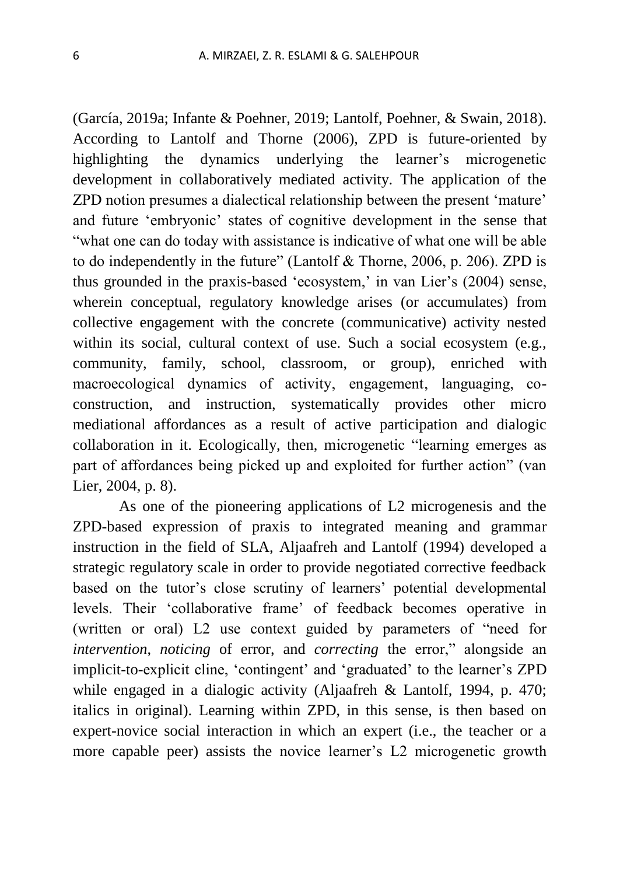(García, 2019a; Infante & Poehner, 2019; Lantolf, Poehner, & Swain, 2018). According to Lantolf and Thorne (2006), ZPD is future-oriented by highlighting the dynamics underlying the learner's microgenetic development in collaboratively mediated activity. The application of the ZPD notion presumes a dialectical relationship between the present 'mature' and future 'embryonic' states of cognitive development in the sense that "what one can do today with assistance is indicative of what one will be able to do independently in the future" (Lantolf & Thorne, 2006, p. 206). ZPD is thus grounded in the praxis-based 'ecosystem,' in van Lier's (2004) sense, wherein conceptual, regulatory knowledge arises (or accumulates) from collective engagement with the concrete (communicative) activity nested within its social, cultural context of use. Such a social ecosystem (e.g., community, family, school, classroom, or group), enriched with macroecological dynamics of activity, engagement, languaging, coconstruction, and instruction, systematically provides other micro mediational affordances as a result of active participation and dialogic collaboration in it. Ecologically, then, microgenetic "learning emerges as part of affordances being picked up and exploited for further action" (van Lier, 2004, p. 8).

As one of the pioneering applications of L2 microgenesis and the ZPD-based expression of praxis to integrated meaning and grammar instruction in the field of SLA, Aljaafreh and Lantolf (1994) developed a strategic regulatory scale in order to provide negotiated corrective feedback based on the tutor's close scrutiny of learners' potential developmental levels. Their 'collaborative frame' of feedback becomes operative in (written or oral) L2 use context guided by parameters of "need for *intervention*, *noticing* of error, and *correcting* the error," alongside an implicit-to-explicit cline, 'contingent' and 'graduated' to the learner's ZPD while engaged in a dialogic activity (Aljaafreh & Lantolf, 1994, p. 470; italics in original). Learning within ZPD, in this sense, is then based on expert-novice social interaction in which an expert (i.e., the teacher or a more capable peer) assists the novice learner's L2 microgenetic growth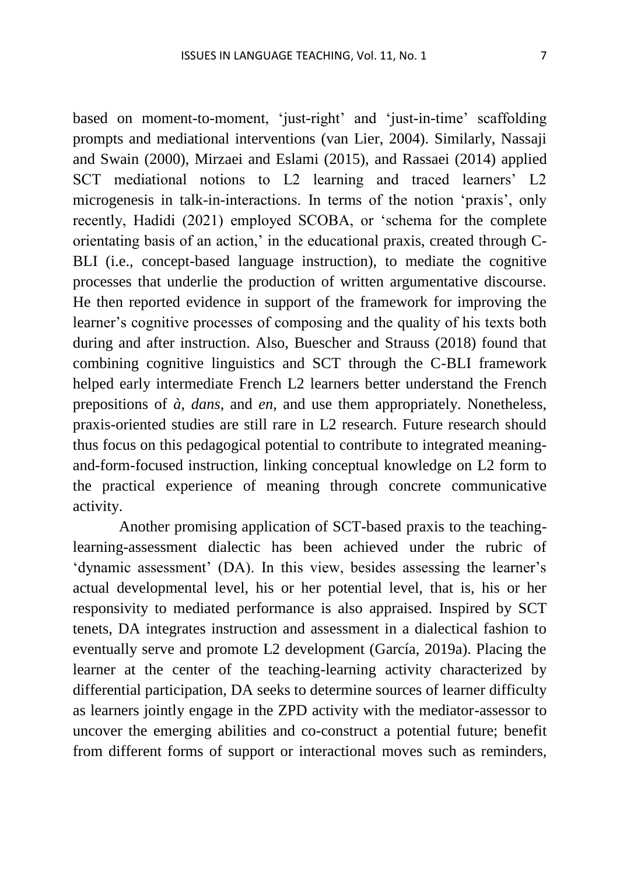based on moment-to-moment, 'just-right' and 'just-in-time' scaffolding prompts and mediational interventions (van Lier, 2004). Similarly, Nassaji and Swain (2000), Mirzaei and Eslami (2015), and Rassaei (2014) applied SCT mediational notions to L2 learning and traced learners' L2 microgenesis in talk-in-interactions. In terms of the notion 'praxis', only recently, Hadidi (2021) employed SCOBA, or 'schema for the complete orientating basis of an action,' in the educational praxis, created through C-BLI (i.e., concept-based language instruction), to mediate the cognitive processes that underlie the production of written argumentative discourse. He then reported evidence in support of the framework for improving the learner's cognitive processes of composing and the quality of his texts both during and after instruction. Also, Buescher and Strauss (2018) found that combining cognitive linguistics and SCT through the C-BLI framework helped early intermediate French L2 learners better understand the French prepositions of *à*, *dans*, and *en*, and use them appropriately. Nonetheless, praxis-oriented studies are still rare in L2 research. Future research should thus focus on this pedagogical potential to contribute to integrated meaningand-form-focused instruction, linking conceptual knowledge on L2 form to the practical experience of meaning through concrete communicative activity.

Another promising application of SCT-based praxis to the teachinglearning-assessment dialectic has been achieved under the rubric of 'dynamic assessment' (DA). In this view, besides assessing the learner's actual developmental level, his or her potential level, that is, his or her responsivity to mediated performance is also appraised. Inspired by SCT tenets, DA integrates instruction and assessment in a dialectical fashion to eventually serve and promote L2 development (García, 2019a). Placing the learner at the center of the teaching-learning activity characterized by differential participation, DA seeks to determine sources of learner difficulty as learners jointly engage in the ZPD activity with the mediator-assessor to uncover the emerging abilities and co-construct a potential future; benefit from different forms of support or interactional moves such as reminders,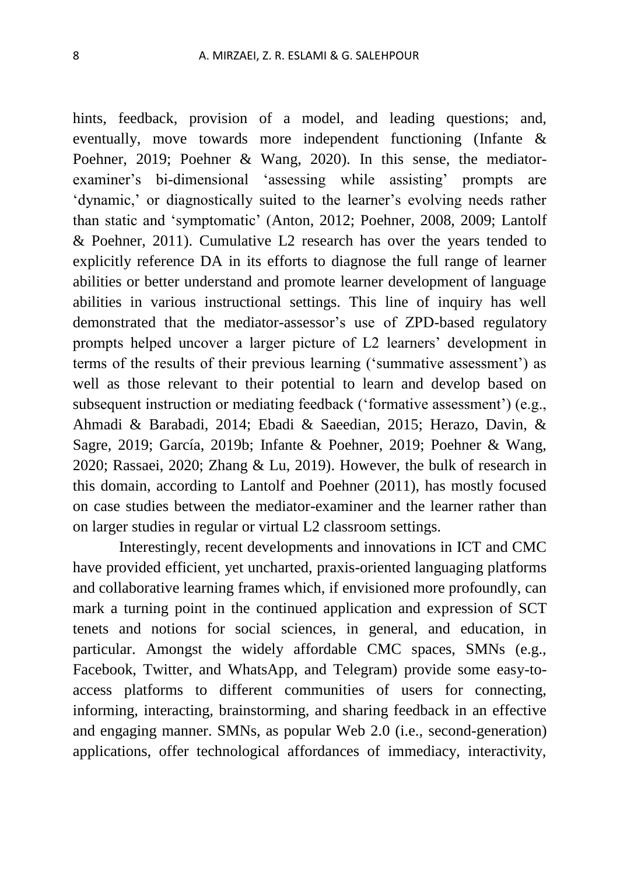hints, feedback, provision of a model, and leading questions; and, eventually, move towards more independent functioning (Infante & Poehner, 2019; Poehner & Wang, 2020). In this sense, the mediatorexaminer's bi-dimensional 'assessing while assisting' prompts are 'dynamic,' or diagnostically suited to the learner's evolving needs rather than static and 'symptomatic' (Anton, 2012; Poehner, 2008, 2009; Lantolf & Poehner, 2011). Cumulative L2 research has over the years tended to explicitly reference DA in its efforts to diagnose the full range of learner abilities or better understand and promote learner development of language abilities in various instructional settings. This line of inquiry has well demonstrated that the mediator-assessor's use of ZPD-based regulatory prompts helped uncover a larger picture of L2 learners' development in terms of the results of their previous learning ('summative assessment') as well as those relevant to their potential to learn and develop based on subsequent instruction or mediating feedback ('formative assessment') (e.g., Ahmadi & Barabadi, 2014; Ebadi & Saeedian, 2015; Herazo, Davin, & Sagre, 2019; García, 2019b; Infante & Poehner, 2019; Poehner & Wang, 2020; Rassaei, 2020; Zhang & Lu, 2019). However, the bulk of research in this domain, according to Lantolf and Poehner (2011), has mostly focused on case studies between the mediator-examiner and the learner rather than on larger studies in regular or virtual L2 classroom settings.

Interestingly, recent developments and innovations in ICT and CMC have provided efficient, yet uncharted, praxis-oriented languaging platforms and collaborative learning frames which, if envisioned more profoundly, can mark a turning point in the continued application and expression of SCT tenets and notions for social sciences, in general, and education, in particular. Amongst the widely affordable CMC spaces, SMNs (e.g., Facebook, Twitter, and WhatsApp, and Telegram) provide some easy-toaccess platforms to different communities of users for connecting, informing, interacting, brainstorming, and sharing feedback in an effective and engaging manner. SMNs, as popular Web 2.0 (i.e., second-generation) applications, offer technological affordances of immediacy, interactivity,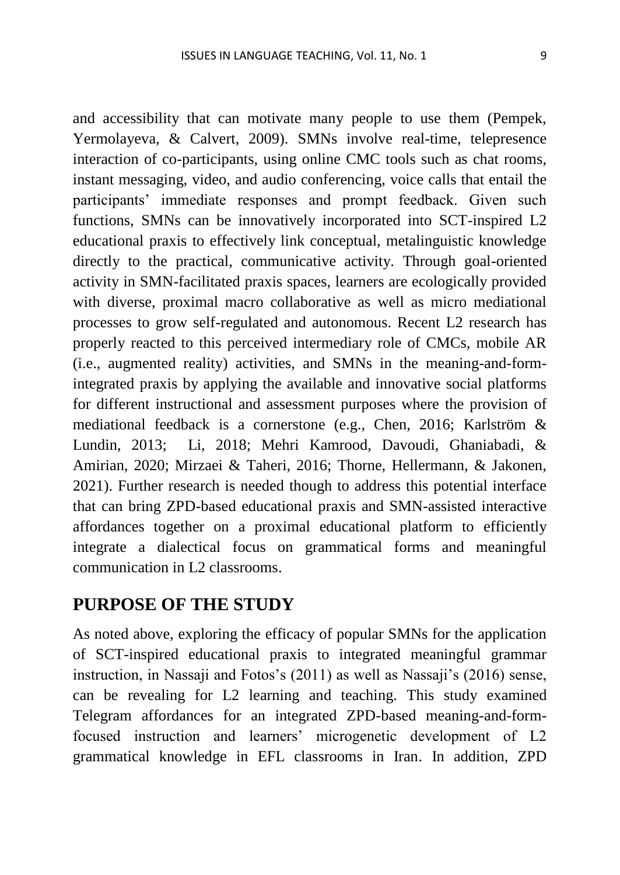and accessibility that can motivate many people to use them (Pempek, Yermolayeva, & Calvert, 2009). SMNs involve real-time, telepresence interaction of co-participants, using online CMC tools such as chat rooms, instant messaging, video, and audio conferencing, voice calls that entail the participants' immediate responses and prompt feedback. Given such functions, SMNs can be innovatively incorporated into SCT-inspired L2 educational praxis to effectively link conceptual, metalinguistic knowledge directly to the practical, communicative activity. Through goal-oriented activity in SMN-facilitated praxis spaces, learners are ecologically provided with diverse, proximal macro collaborative as well as micro mediational processes to grow self-regulated and autonomous. Recent L2 research has properly reacted to this perceived intermediary role of CMCs, mobile AR (i.e., augmented reality) activities, and SMNs in the meaning-and-formintegrated praxis by applying the available and innovative social platforms for different instructional and assessment purposes where the provision of mediational feedback is a cornerstone (e.g., Chen, 2016; [Karlström &](https://www.tandfonline.com/author/Karlstr%C3%B6m%2C+Petter) [Lundin, 2013;](https://www.tandfonline.com/author/Lundin%2C+Eva) Li, 2018; Mehri Kamrood, Davoudi, Ghaniabadi, & Amirian, 2020; Mirzaei & Taheri, 2016; Thorne, Hellermann, & Jakonen, 2021). Further research is needed though to address this potential interface that can bring ZPD-based educational praxis and SMN-assisted interactive affordances together on a proximal educational platform to efficiently integrate a dialectical focus on grammatical forms and meaningful communication in L2 classrooms.

# **PURPOSE OF THE STUDY**

As noted above, exploring the efficacy of popular SMNs for the application of SCT-inspired educational praxis to integrated meaningful grammar instruction, in Nassaji and Fotos's (2011) as well as Nassaji's (2016) sense, can be revealing for L2 learning and teaching. This study examined Telegram affordances for an integrated ZPD-based meaning-and-formfocused instruction and learners' microgenetic development of L2 grammatical knowledge in EFL classrooms in Iran. In addition, ZPD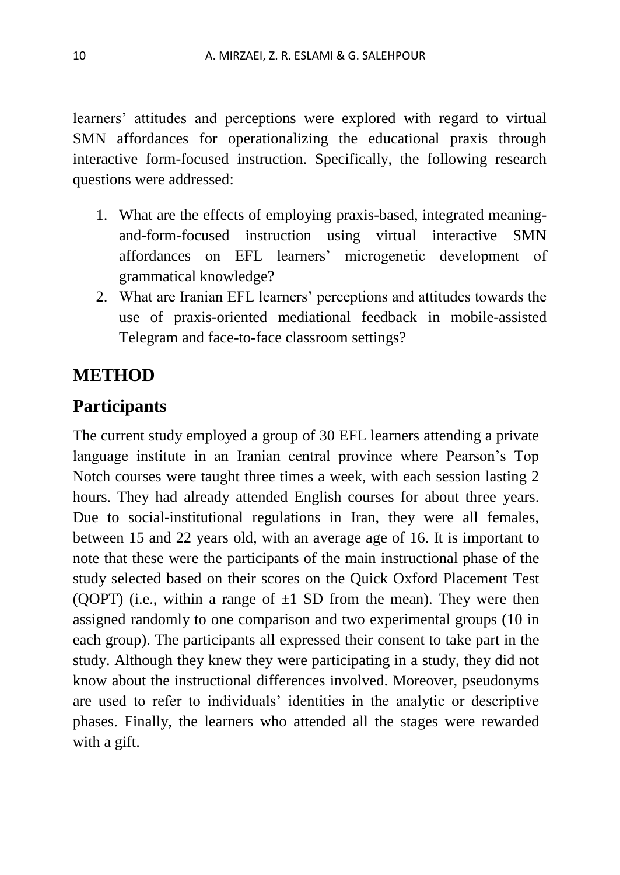learners' attitudes and perceptions were explored with regard to virtual SMN affordances for operationalizing the educational praxis through interactive form-focused instruction. Specifically, the following research questions were addressed:

- 1. What are the effects of employing praxis-based, integrated meaningand-form-focused instruction using virtual interactive SMN affordances on EFL learners' microgenetic development of grammatical knowledge?
- 2. What are Iranian EFL learners' perceptions and attitudes towards the use of praxis-oriented mediational feedback in mobile-assisted Telegram and face-to-face classroom settings?

# **METHOD**

# **Participants**

The current study employed a group of 30 EFL learners attending a private language institute in an Iranian central province where Pearson's Top Notch courses were taught three times a week, with each session lasting 2 hours. They had already attended English courses for about three years. Due to social-institutional regulations in Iran, they were all females, between 15 and 22 years old, with an average age of 16. It is important to note that these were the participants of the main instructional phase of the study selected based on their scores on the Quick Oxford Placement Test (QOPT) (i.e., within a range of  $\pm 1$  SD from the mean). They were then assigned randomly to one comparison and two experimental groups (10 in each group). The participants all expressed their consent to take part in the study. Although they knew they were participating in a study, they did not know about the instructional differences involved. Moreover, pseudonyms are used to refer to individuals' identities in the analytic or descriptive phases. Finally, the learners who attended all the stages were rewarded with a gift.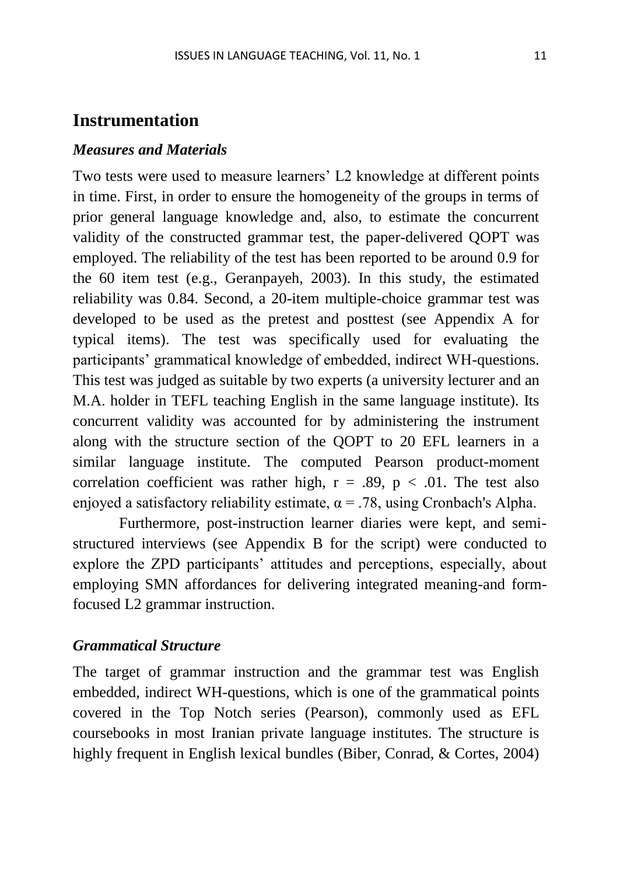### **Instrumentation**

### *Measures and Materials*

Two tests were used to measure learners' L2 knowledge at different points in time. First, in order to ensure the homogeneity of the groups in terms of prior general language knowledge and, also, to estimate the concurrent validity of the constructed grammar test, the paper-delivered QOPT was employed. The reliability of the test has been reported to be around 0.9 for the 60 item test (e.g., Geranpayeh, 2003). In this study, the estimated reliability was 0.84. Second, a 20-item multiple-choice grammar test was developed to be used as the pretest and posttest (see Appendix A for typical items). The test was specifically used for evaluating the participants' grammatical knowledge of embedded, indirect WH-questions. This test was judged as suitable by two experts (a university lecturer and an M.A. holder in TEFL teaching English in the same language institute). Its concurrent validity was accounted for by administering the instrument along with the structure section of the QOPT to 20 EFL learners in a similar language institute. The computed Pearson product-moment correlation coefficient was rather high,  $r = .89$ ,  $p < .01$ . The test also enjoyed a satisfactory reliability estimate,  $\alpha$  = .78, using Cronbach's Alpha.

Furthermore, post-instruction learner diaries were kept, and semistructured interviews (see Appendix B for the script) were conducted to explore the ZPD participants' attitudes and perceptions, especially, about employing SMN affordances for delivering integrated meaning-and formfocused L2 grammar instruction.

#### *Grammatical Structure*

The target of grammar instruction and the grammar test was English embedded, indirect WH-questions, which is one of the grammatical points covered in the Top Notch series (Pearson), commonly used as EFL coursebooks in most Iranian private language institutes. The structure is highly frequent in English lexical bundles (Biber, Conrad, & Cortes, 2004)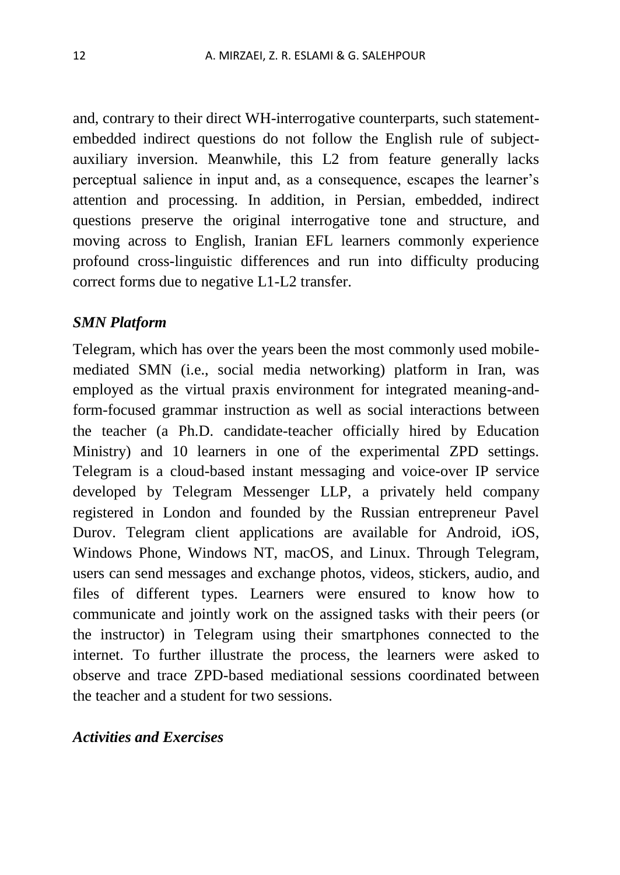and, contrary to their direct WH-interrogative counterparts, such statementembedded indirect questions do not follow the English rule of subjectauxiliary inversion. Meanwhile, this L2 from feature generally lacks perceptual salience in input and, as a consequence, escapes the learner's attention and processing. In addition, in Persian, embedded, indirect questions preserve the original interrogative tone and structure, and moving across to English, Iranian EFL learners commonly experience profound cross-linguistic differences and run into difficulty producing correct forms due to negative L1-L2 transfer.

#### *SMN Platform*

Telegram, which has over the years been the most commonly used mobilemediated SMN (i.e., social media networking) platform in Iran, was employed as the virtual praxis environment for integrated meaning-andform-focused grammar instruction as well as social interactions between the teacher (a Ph.D. candidate-teacher officially hired by Education Ministry) and 10 learners in one of the experimental ZPD settings. Telegram is a cloud-based instant messaging and voice-over IP service developed by Telegram Messenger LLP, a privately held company registered in London and founded by the Russian entrepreneur Pavel Durov. Telegram client applications are available for Android, iOS, Windows Phone, Windows NT, macOS, and Linux. Through Telegram, users can send messages and exchange photos, videos, stickers, audio, and files of different types. Learners were ensured to know how to communicate and jointly work on the assigned tasks with their peers (or the instructor) in Telegram using their smartphones connected to the internet. To further illustrate the process, the learners were asked to observe and trace ZPD-based mediational sessions coordinated between the teacher and a student for two sessions.

### *Activities and Exercises*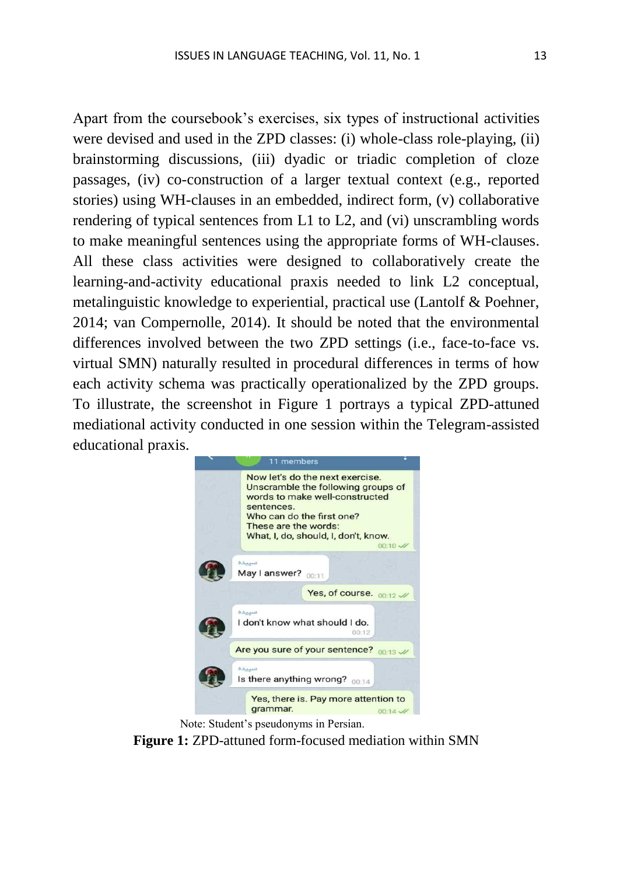Apart from the coursebook's exercises, six types of instructional activities were devised and used in the ZPD classes: (i) whole-class role-playing, (ii) brainstorming discussions, (iii) dyadic or triadic completion of cloze passages, (iv) co-construction of a larger textual context (e.g., reported stories) using WH-clauses in an embedded, indirect form, (v) collaborative rendering of typical sentences from L1 to L2, and (vi) unscrambling words to make meaningful sentences using the appropriate forms of WH-clauses. All these class activities were designed to collaboratively create the learning-and-activity educational praxis needed to link L2 conceptual, metalinguistic knowledge to experiential, practical use (Lantolf & Poehner, 2014; van Compernolle, 2014). It should be noted that the environmental differences involved between the two ZPD settings (i.e., face-to-face vs. virtual SMN) naturally resulted in procedural differences in terms of how each activity schema was practically operationalized by the ZPD groups. To illustrate, the screenshot in Figure 1 portrays a typical ZPD-attuned mediational activity conducted in one session within the Telegram-assisted educational praxis.



Note: Student's pseudonyms in Persian.

**Figure 1:** ZPD-attuned form-focused mediation within SMN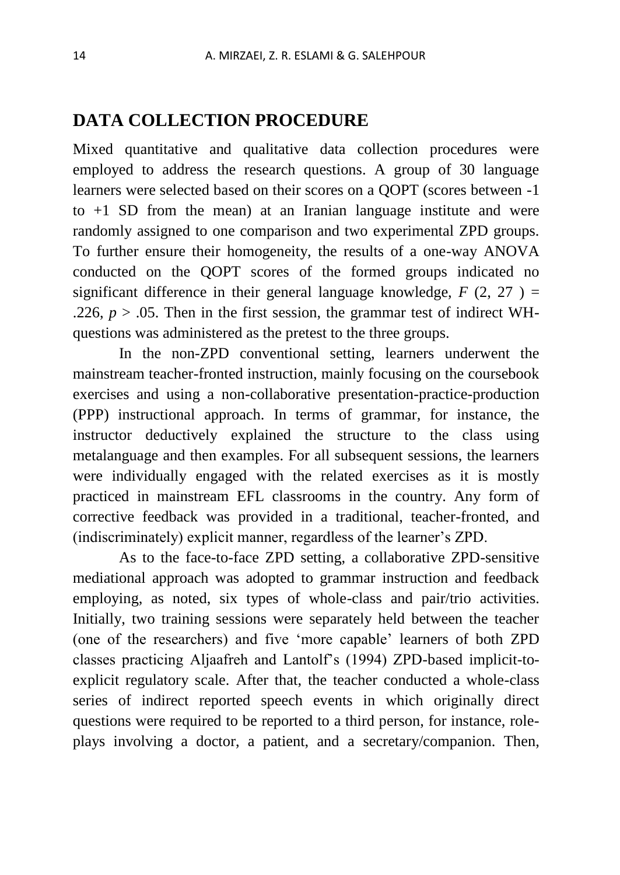# **DATA COLLECTION PROCEDURE**

Mixed quantitative and qualitative data collection procedures were employed to address the research questions. A group of 30 language learners were selected based on their scores on a QOPT (scores between -1 to +1 SD from the mean) at an Iranian language institute and were randomly assigned to one comparison and two experimental ZPD groups. To further ensure their homogeneity, the results of a one-way ANOVA conducted on the QOPT scores of the formed groups indicated no significant difference in their general language knowledge,  $F(2, 27) =$ .226,  $p > 0.05$ . Then in the first session, the grammar test of indirect WHquestions was administered as the pretest to the three groups.

In the non-ZPD conventional setting, learners underwent the mainstream teacher-fronted instruction, mainly focusing on the coursebook exercises and using a non-collaborative presentation-practice-production (PPP) instructional approach. In terms of grammar, for instance, the instructor deductively explained the structure to the class using metalanguage and then examples. For all subsequent sessions, the learners were individually engaged with the related exercises as it is mostly practiced in mainstream EFL classrooms in the country. Any form of corrective feedback was provided in a traditional, teacher-fronted, and (indiscriminately) explicit manner, regardless of the learner's ZPD.

As to the face-to-face ZPD setting, a collaborative ZPD-sensitive mediational approach was adopted to grammar instruction and feedback employing, as noted, six types of whole-class and pair/trio activities. Initially, two training sessions were separately held between the teacher (one of the researchers) and five 'more capable' learners of both ZPD classes practicing Aljaafreh and Lantolf's (1994) ZPD-based implicit-toexplicit regulatory scale. After that, the teacher conducted a whole-class series of indirect reported speech events in which originally direct questions were required to be reported to a third person, for instance, roleplays involving a doctor, a patient, and a secretary/companion. Then,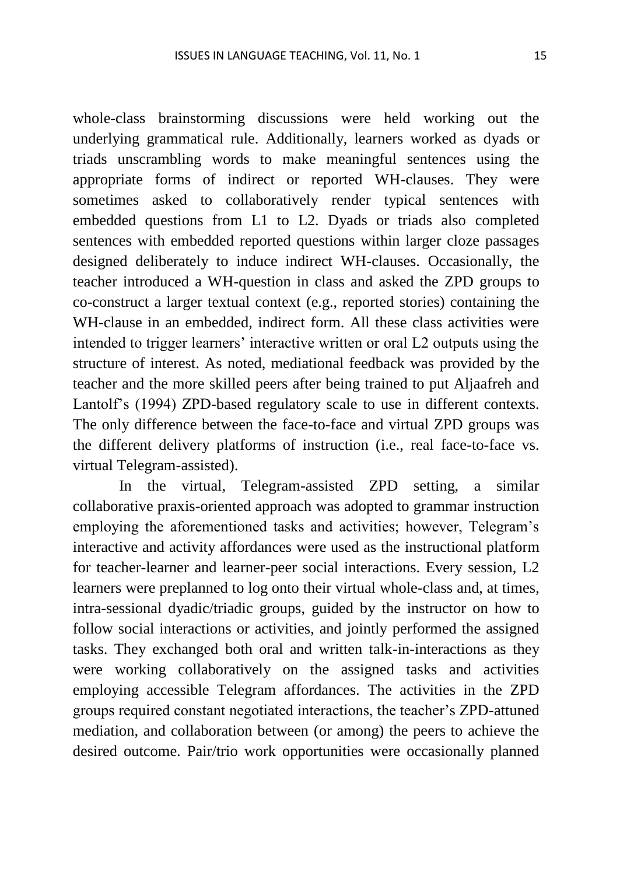whole-class brainstorming discussions were held working out the underlying grammatical rule. Additionally, learners worked as dyads or triads unscrambling words to make meaningful sentences using the appropriate forms of indirect or reported WH-clauses. They were sometimes asked to collaboratively render typical sentences with embedded questions from L1 to L2. Dyads or triads also completed sentences with embedded reported questions within larger cloze passages designed deliberately to induce indirect WH-clauses. Occasionally, the teacher introduced a WH-question in class and asked the ZPD groups to co-construct a larger textual context (e.g., reported stories) containing the WH-clause in an embedded, indirect form. All these class activities were intended to trigger learners' interactive written or oral L2 outputs using the structure of interest. As noted, mediational feedback was provided by the teacher and the more skilled peers after being trained to put Aljaafreh and Lantolf's (1994) ZPD-based regulatory scale to use in different contexts. The only difference between the face-to-face and virtual ZPD groups was the different delivery platforms of instruction (i.e., real face-to-face vs. virtual Telegram-assisted).

In the virtual, Telegram-assisted ZPD setting, a similar collaborative praxis-oriented approach was adopted to grammar instruction employing the aforementioned tasks and activities; however, Telegram's interactive and activity affordances were used as the instructional platform for teacher-learner and learner-peer social interactions. Every session, L2 learners were preplanned to log onto their virtual whole-class and, at times, intra-sessional dyadic/triadic groups, guided by the instructor on how to follow social interactions or activities, and jointly performed the assigned tasks. They exchanged both oral and written talk-in-interactions as they were working collaboratively on the assigned tasks and activities employing accessible Telegram affordances. The activities in the ZPD groups required constant negotiated interactions, the teacher's ZPD-attuned mediation, and collaboration between (or among) the peers to achieve the desired outcome. Pair/trio work opportunities were occasionally planned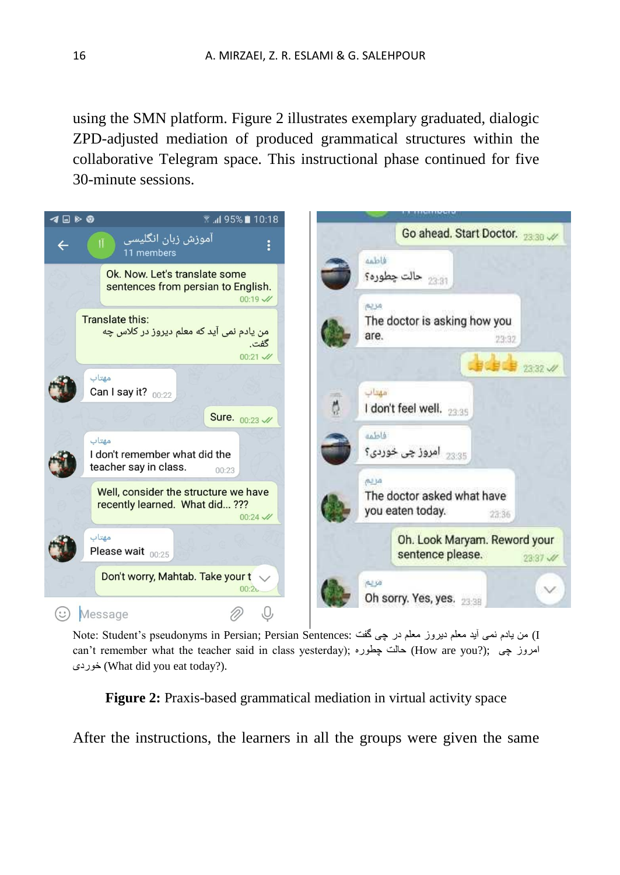using the SMN platform. Figure 2 illustrates exemplary graduated, dialogic ZPD-adjusted mediation of produced grammatical structures within the collaborative Telegram space. This instructional phase continued for five 30-minute sessions.



I) من یادم نمی آید معلم دیروز معلم در چی گفت :Note: Student's pseudonyms in Persian; Persian Sentences can't remember what the teacher said in class yesterday); امروز چی (How are you?); امروز چی خوردی) What did you eat today?).

**Figure 2:** Praxis-based grammatical mediation in virtual activity space

After the instructions, the learners in all the groups were given the same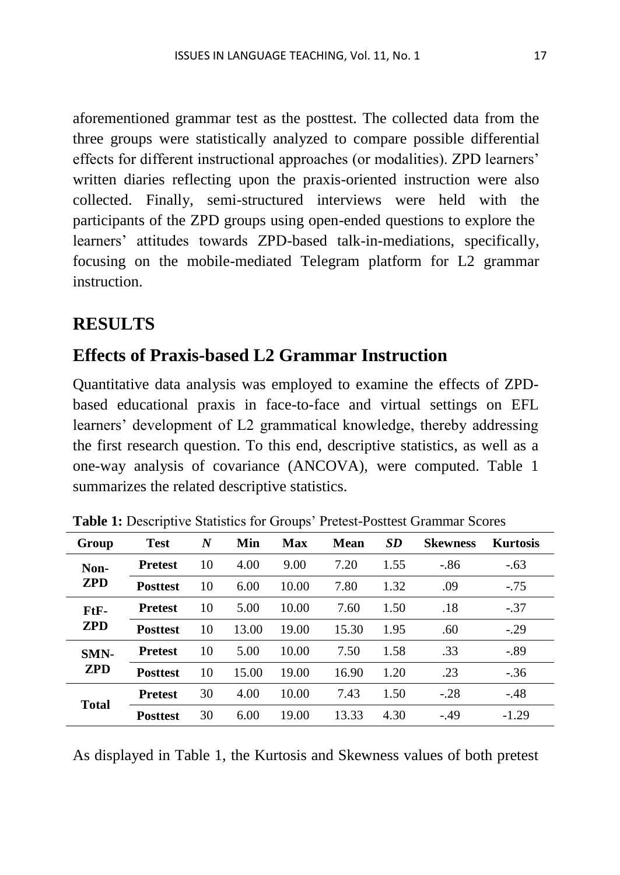aforementioned grammar test as the posttest. The collected data from the three groups were statistically analyzed to compare possible differential effects for different instructional approaches (or modalities). ZPD learners' written diaries reflecting upon the praxis-oriented instruction were also collected. Finally, semi-structured interviews were held with the participants of the ZPD groups using open-ended questions to explore the learners' attitudes towards ZPD-based talk-in-mediations, specifically, focusing on the mobile-mediated Telegram platform for L2 grammar instruction.

# **RESULTS**

# **Effects of Praxis-based L2 Grammar Instruction**

Quantitative data analysis was employed to examine the effects of ZPDbased educational praxis in face-to-face and virtual settings on EFL learners' development of L2 grammatical knowledge, thereby addressing the first research question. To this end, descriptive statistics, as well as a one-way analysis of covariance (ANCOVA), were computed. Table 1 summarizes the related descriptive statistics.

| Group              | <b>Test</b>     | $\boldsymbol{N}$ | Min   | Max   | <b>Mean</b> | <b>SD</b> | <b>Skewness</b> | <b>Kurtosis</b> |
|--------------------|-----------------|------------------|-------|-------|-------------|-----------|-----------------|-----------------|
| Non-<br><b>ZPD</b> | <b>Pretest</b>  | 10               | 4.00  | 9.00  | 7.20        | 1.55      | $-.86$          | $-.63$          |
|                    | <b>Posttest</b> | 10               | 6.00  | 10.00 | 7.80        | 1.32      | .09             | $-.75$          |
| FtF-<br><b>ZPD</b> | <b>Pretest</b>  | 10               | 5.00  | 10.00 | 7.60        | 1.50      | .18             | $-.37$          |
|                    | <b>Posttest</b> | 10               | 13.00 | 19.00 | 15.30       | 1.95      | .60             | $-.29$          |
| SMN-<br><b>ZPD</b> | <b>Pretest</b>  | 10               | 5.00  | 10.00 | 7.50        | 1.58      | .33             | $-.89$          |
|                    | <b>Posttest</b> | 10               | 15.00 | 19.00 | 16.90       | 1.20      | .23             | $-.36$          |
| <b>Total</b>       | <b>Pretest</b>  | 30               | 4.00  | 10.00 | 7.43        | 1.50      | $-.28$          | $-.48$          |
|                    | <b>Posttest</b> | 30               | 6.00  | 19.00 | 13.33       | 4.30      | $-49$           | $-1.29$         |

**Table 1:** Descriptive Statistics for Groups' Pretest-Posttest Grammar Scores

As displayed in Table 1, the Kurtosis and Skewness values of both pretest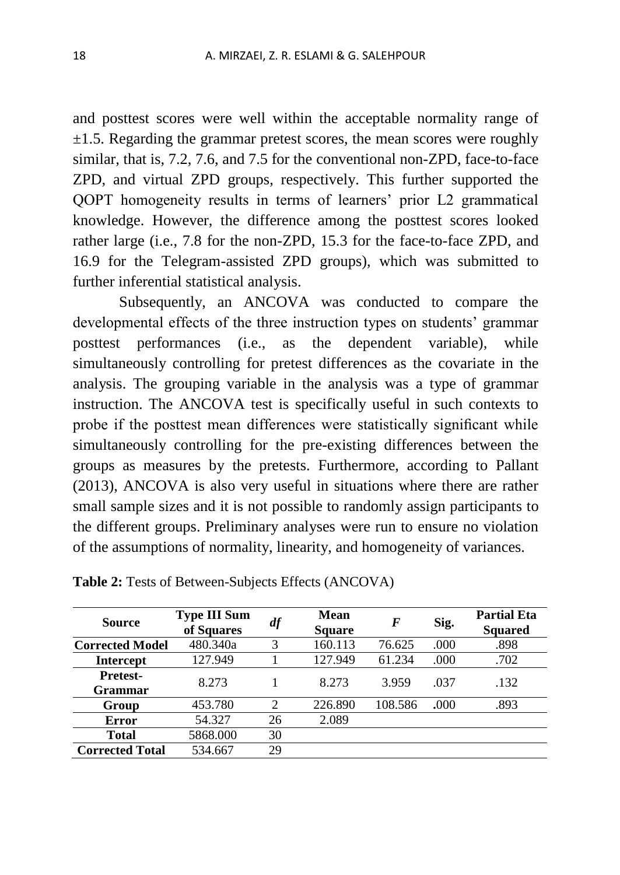and posttest scores were well within the acceptable normality range of  $\pm$ 1.5. Regarding the grammar pretest scores, the mean scores were roughly similar, that is, 7.2, 7.6, and 7.5 for the conventional non-ZPD, face-to-face ZPD, and virtual ZPD groups, respectively. This further supported the QOPT homogeneity results in terms of learners' prior L2 grammatical knowledge. However, the difference among the posttest scores looked rather large (i.e., 7.8 for the non-ZPD, 15.3 for the face-to-face ZPD, and 16.9 for the Telegram-assisted ZPD groups), which was submitted to further inferential statistical analysis.

Subsequently, an ANCOVA was conducted to compare the developmental effects of the three instruction types on students' grammar posttest performances (i.e., as the dependent variable), while simultaneously controlling for pretest differences as the covariate in the analysis. The grouping variable in the analysis was a type of grammar instruction. The ANCOVA test is specifically useful in such contexts to probe if the posttest mean differences were statistically significant while simultaneously controlling for the pre-existing differences between the groups as measures by the pretests. Furthermore, according to Pallant (2013), ANCOVA is also very useful in situations where there are rather small sample sizes and it is not possible to randomly assign participants to the different groups. Preliminary analyses were run to ensure no violation of the assumptions of normality, linearity, and homogeneity of variances.

| <b>Source</b>              | <b>Type III Sum</b><br>of Squares | df             | Mean<br><b>Square</b> | $\bm{F}$ | Sig. | <b>Partial Eta</b><br><b>Squared</b> |
|----------------------------|-----------------------------------|----------------|-----------------------|----------|------|--------------------------------------|
| <b>Corrected Model</b>     | 480.340a                          | 3              | 160.113               | 76.625   | .000 | .898                                 |
| <b>Intercept</b>           | 127.949                           |                | 127.949               | 61.234   | .000 | .702                                 |
| <b>Pretest-</b><br>Grammar | 8.273                             |                | 8.273                 | 3.959    | .037 | .132                                 |
| Group                      | 453.780                           | $\mathfrak{D}$ | 226.890               | 108.586  | .000 | .893                                 |
| <b>Error</b>               | 54.327                            | 26             | 2.089                 |          |      |                                      |
| Total                      | 5868.000                          | 30             |                       |          |      |                                      |
| <b>Corrected Total</b>     | 534.667                           | 29             |                       |          |      |                                      |

**Table 2:** Tests of Between-Subjects Effects (ANCOVA)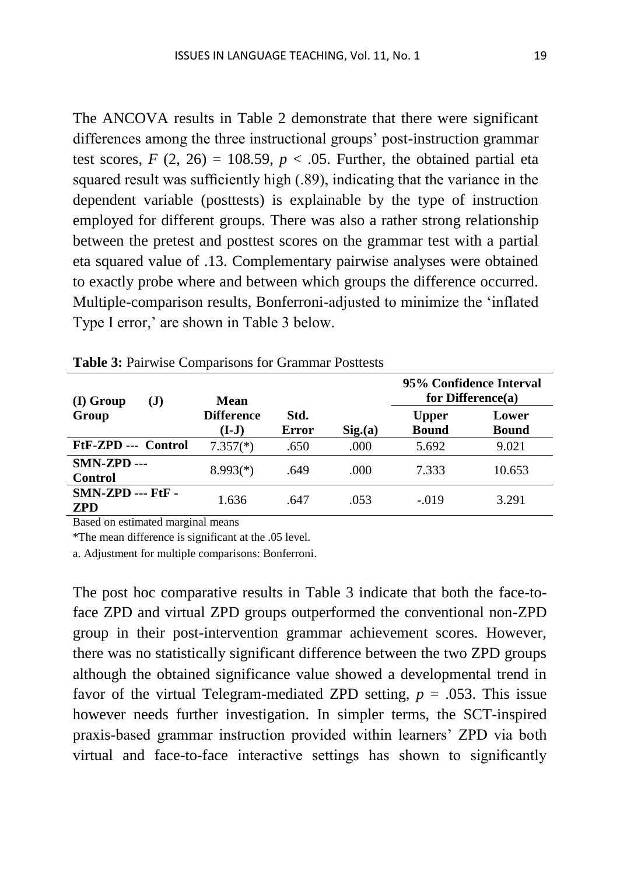The ANCOVA results in Table 2 demonstrate that there were significant differences among the three instructional groups' post-instruction grammar test scores,  $F(2, 26) = 108.59$ ,  $p < .05$ . Further, the obtained partial eta squared result was sufficiently high (.89), indicating that the variance in the dependent variable (posttests) is explainable by the type of instruction employed for different groups. There was also a rather strong relationship between the pretest and posttest scores on the grammar test with a partial eta squared value of .13. Complementary pairwise analyses were obtained to exactly probe where and between which groups the difference occurred. Multiple-comparison results, Bonferroni-adjusted to minimize the 'inflated Type I error,' are shown in Table 3 below.

| (I) Group<br>(J)                    | Mean                       |               |        | 95% Confidence Interval<br>for Difference $(a)$ |                       |  |
|-------------------------------------|----------------------------|---------------|--------|-------------------------------------------------|-----------------------|--|
| Group                               | <b>Difference</b><br>(I-J) | Std.<br>Error | Sig(a) | <b>Upper</b><br><b>Bound</b>                    | Lower<br><b>Bound</b> |  |
| FtF-ZPD --- Control                 | $7.357(*)$                 | .650          | .000   | 5.692                                           | 9.021                 |  |
| $SMN-ZPD$ ---<br><b>Control</b>     | $8.993(*)$                 | .649          | .000   | 7.333                                           | 10.653                |  |
| $SMN-ZPD$ --- $FtF$ -<br><b>ZPD</b> | 1.636                      | .647          | .053   | $-.019$                                         | 3.291                 |  |

Table 3: Pairwise Comparisons for Grammar Posttests

Based on estimated marginal means

\*The mean difference is significant at the .05 level.

a. Adjustment for multiple comparisons: Bonferroni.

The post hoc comparative results in Table 3 indicate that both the face-toface ZPD and virtual ZPD groups outperformed the conventional non-ZPD group in their post-intervention grammar achievement scores. However, there was no statistically significant difference between the two ZPD groups although the obtained significance value showed a developmental trend in favor of the virtual Telegram-mediated ZPD setting,  $p = .053$ . This issue however needs further investigation. In simpler terms, the SCT-inspired praxis-based grammar instruction provided within learners' ZPD via both virtual and face-to-face interactive settings has shown to significantly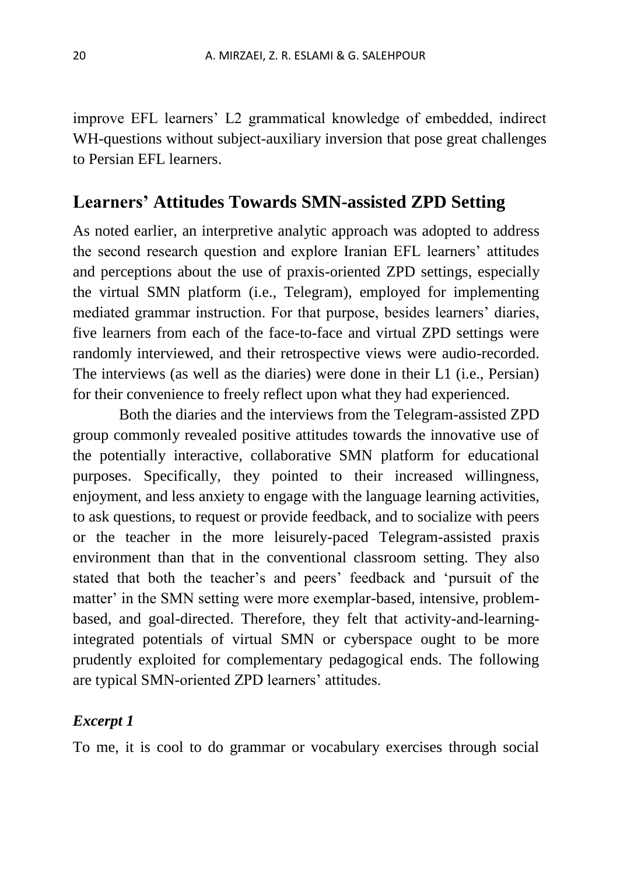improve EFL learners' L2 grammatical knowledge of embedded, indirect WH-questions without subject-auxiliary inversion that pose great challenges to Persian EFL learners.

# **Learners' Attitudes Towards SMN-assisted ZPD Setting**

As noted earlier, an interpretive analytic approach was adopted to address the second research question and explore Iranian EFL learners' attitudes and perceptions about the use of praxis-oriented ZPD settings, especially the virtual SMN platform (i.e., Telegram), employed for implementing mediated grammar instruction. For that purpose, besides learners' diaries, five learners from each of the face-to-face and virtual ZPD settings were randomly interviewed, and their retrospective views were audio-recorded. The interviews (as well as the diaries) were done in their L1 (i.e., Persian) for their convenience to freely reflect upon what they had experienced.

Both the diaries and the interviews from the Telegram-assisted ZPD group commonly revealed positive attitudes towards the innovative use of the potentially interactive, collaborative SMN platform for educational purposes. Specifically, they pointed to their increased willingness, enjoyment, and less anxiety to engage with the language learning activities, to ask questions, to request or provide feedback, and to socialize with peers or the teacher in the more leisurely-paced Telegram-assisted praxis environment than that in the conventional classroom setting. They also stated that both the teacher's and peers' feedback and 'pursuit of the matter' in the SMN setting were more exemplar-based, intensive, problembased, and goal-directed. Therefore, they felt that activity-and-learningintegrated potentials of virtual SMN or cyberspace ought to be more prudently exploited for complementary pedagogical ends. The following are typical SMN-oriented ZPD learners' attitudes.

# *Excerpt 1*

To me, it is cool to do grammar or vocabulary exercises through social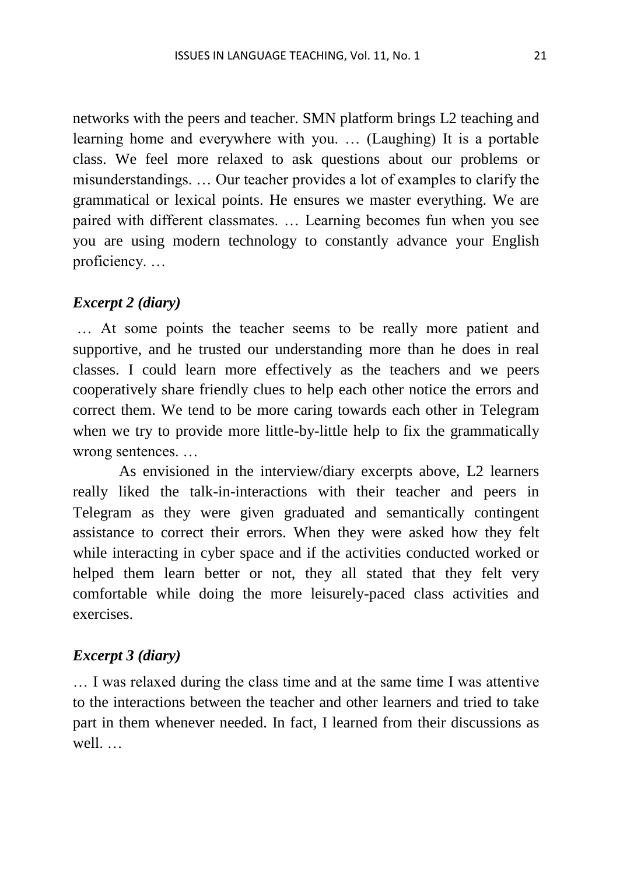networks with the peers and teacher. SMN platform brings L2 teaching and learning home and everywhere with you. … (Laughing) It is a portable class. We feel more relaxed to ask questions about our problems or misunderstandings. … Our teacher provides a lot of examples to clarify the grammatical or lexical points. He ensures we master everything. We are paired with different classmates. … Learning becomes fun when you see you are using modern technology to constantly advance your English proficiency. …

### *Excerpt 2 (diary)*

… At some points the teacher seems to be really more patient and supportive, and he trusted our understanding more than he does in real classes. I could learn more effectively as the teachers and we peers cooperatively share friendly clues to help each other notice the errors and correct them. We tend to be more caring towards each other in Telegram when we try to provide more little-by-little help to fix the grammatically wrong sentences. …

As envisioned in the interview/diary excerpts above, L2 learners really liked the talk-in-interactions with their teacher and peers in Telegram as they were given graduated and semantically contingent assistance to correct their errors. When they were asked how they felt while interacting in cyber space and if the activities conducted worked or helped them learn better or not, they all stated that they felt very comfortable while doing the more leisurely-paced class activities and exercises.

#### *Excerpt 3 (diary)*

… I was relaxed during the class time and at the same time I was attentive to the interactions between the teacher and other learners and tried to take part in them whenever needed. In fact, I learned from their discussions as well.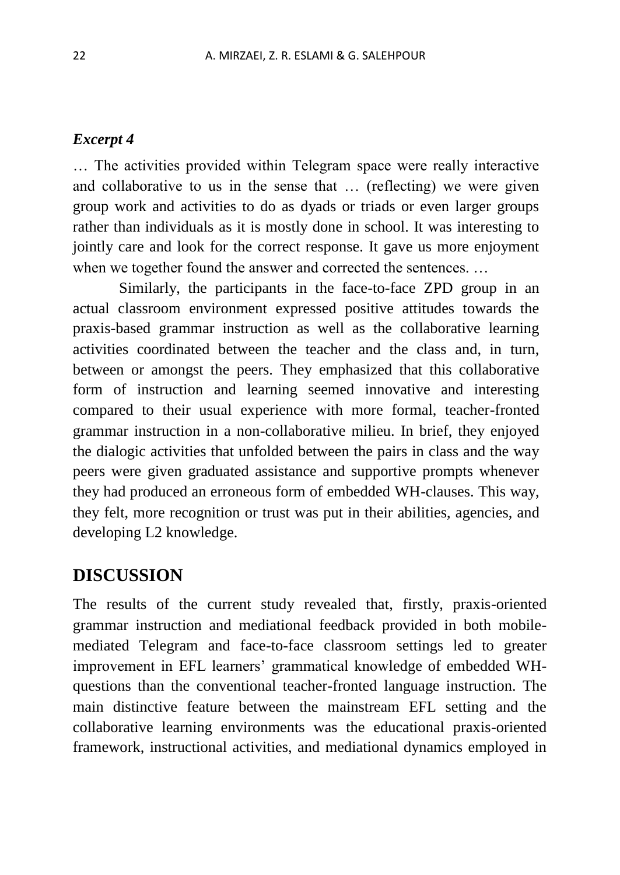#### *Excerpt 4*

… The activities provided within Telegram space were really interactive and collaborative to us in the sense that … (reflecting) we were given group work and activities to do as dyads or triads or even larger groups rather than individuals as it is mostly done in school. It was interesting to jointly care and look for the correct response. It gave us more enjoyment when we together found the answer and corrected the sentences. …

Similarly, the participants in the face-to-face ZPD group in an actual classroom environment expressed positive attitudes towards the praxis-based grammar instruction as well as the collaborative learning activities coordinated between the teacher and the class and, in turn, between or amongst the peers. They emphasized that this collaborative form of instruction and learning seemed innovative and interesting compared to their usual experience with more formal, teacher-fronted grammar instruction in a non-collaborative milieu. In brief, they enjoyed the dialogic activities that unfolded between the pairs in class and the way peers were given graduated assistance and supportive prompts whenever they had produced an erroneous form of embedded WH-clauses. This way, they felt, more recognition or trust was put in their abilities, agencies, and developing L2 knowledge.

# **DISCUSSION**

The results of the current study revealed that, firstly, praxis-oriented grammar instruction and mediational feedback provided in both mobilemediated Telegram and face-to-face classroom settings led to greater improvement in EFL learners' grammatical knowledge of embedded WHquestions than the conventional teacher-fronted language instruction. The main distinctive feature between the mainstream EFL setting and the collaborative learning environments was the educational praxis-oriented framework, instructional activities, and mediational dynamics employed in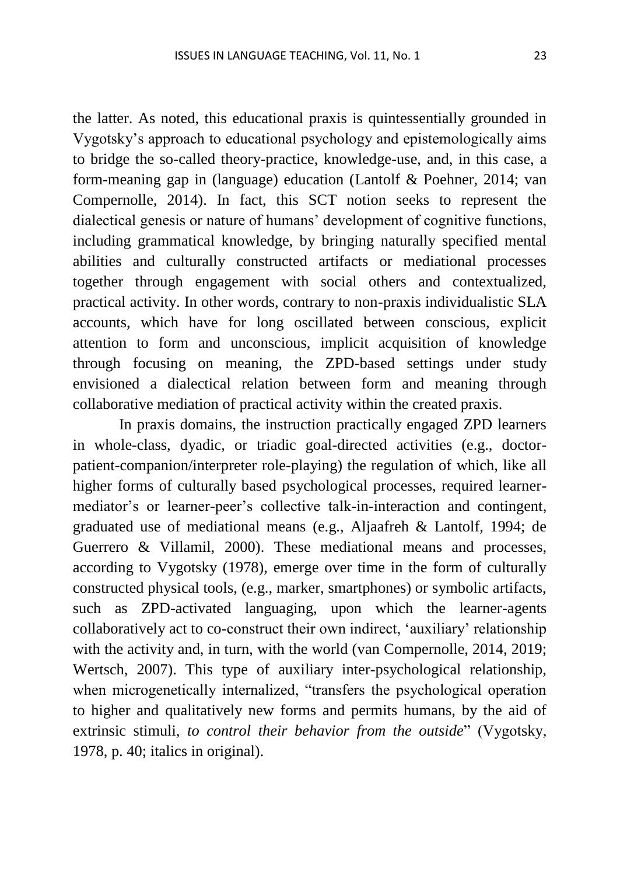the latter. As noted, this educational praxis is quintessentially grounded in Vygotsky's approach to educational psychology and epistemologically aims to bridge the so-called theory-practice, knowledge-use, and, in this case, a form-meaning gap in (language) education (Lantolf & Poehner, 2014; van Compernolle, 2014). In fact, this SCT notion seeks to represent the dialectical genesis or nature of humans' development of cognitive functions, including grammatical knowledge, by bringing naturally specified mental abilities and culturally constructed artifacts or mediational processes together through engagement with social others and contextualized, practical activity. In other words, contrary to non-praxis individualistic SLA accounts, which have for long oscillated between conscious, explicit attention to form and unconscious, implicit acquisition of knowledge through focusing on meaning, the ZPD-based settings under study envisioned a dialectical relation between form and meaning through collaborative mediation of practical activity within the created praxis.

In praxis domains, the instruction practically engaged ZPD learners in whole-class, dyadic, or triadic goal-directed activities (e.g., doctorpatient-companion/interpreter role-playing) the regulation of which, like all higher forms of culturally based psychological processes, required learnermediator's or learner-peer's collective talk-in-interaction and contingent, graduated use of mediational means (e.g., Aljaafreh & Lantolf, 1994; de Guerrero & Villamil, 2000). These mediational means and processes, according to Vygotsky (1978), emerge over time in the form of culturally constructed physical tools, (e.g., marker, smartphones) or symbolic artifacts, such as ZPD-activated languaging, upon which the learner-agents collaboratively act to co-construct their own indirect, 'auxiliary' relationship with the activity and, in turn, with the world (van Compernolle, 2014, 2019; Wertsch, 2007). This type of auxiliary inter-psychological relationship, when microgenetically internalized, "transfers the psychological operation to higher and qualitatively new forms and permits humans, by the aid of extrinsic stimuli, *to control their behavior from the outside*" (Vygotsky, 1978, p. 40; italics in original).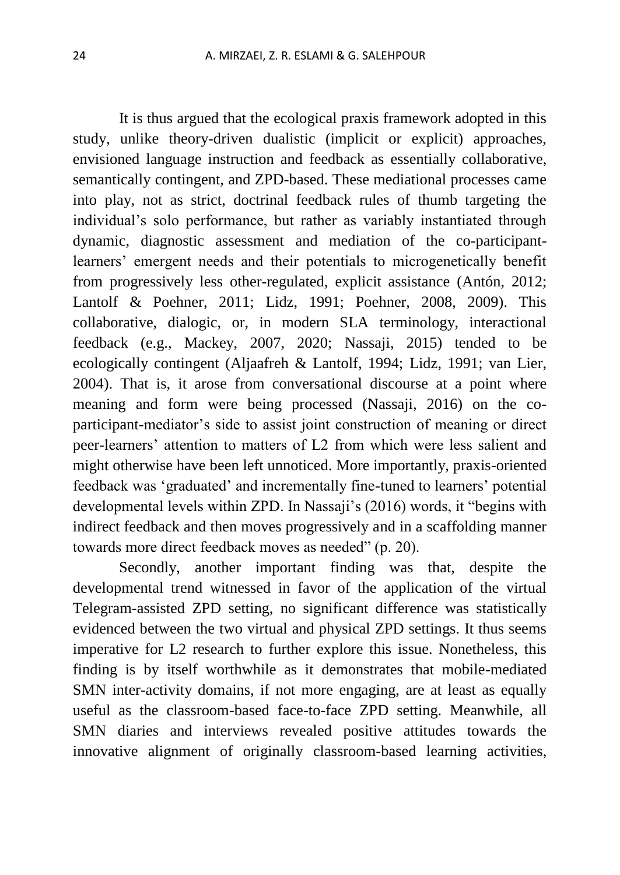It is thus argued that the ecological praxis framework adopted in this study, unlike theory-driven dualistic (implicit or explicit) approaches, envisioned language instruction and feedback as essentially collaborative, semantically contingent, and ZPD-based. These mediational processes came into play, not as strict, doctrinal feedback rules of thumb targeting the individual's solo performance, but rather as variably instantiated through dynamic, diagnostic assessment and mediation of the co-participantlearners' emergent needs and their potentials to microgenetically benefit from progressively less other-regulated, explicit assistance (Antón, 2012; Lantolf & Poehner, 2011; Lidz, 1991; Poehner, 2008, 2009). This collaborative, dialogic, or, in modern SLA terminology, interactional feedback (e.g., Mackey, 2007, 2020; Nassaji, 2015) tended to be ecologically contingent (Aljaafreh & Lantolf, 1994; Lidz, 1991; van Lier, 2004). That is, it arose from conversational discourse at a point where meaning and form were being processed (Nassaji, 2016) on the coparticipant-mediator's side to assist joint construction of meaning or direct peer-learners' attention to matters of L2 from which were less salient and might otherwise have been left unnoticed. More importantly, praxis-oriented feedback was 'graduated' and incrementally fine-tuned to learners' potential developmental levels within ZPD. In Nassaji's (2016) words, it "begins with indirect feedback and then moves progressively and in a scaffolding manner towards more direct feedback moves as needed" (p. 20).

Secondly, another important finding was that, despite the developmental trend witnessed in favor of the application of the virtual Telegram-assisted ZPD setting, no significant difference was statistically evidenced between the two virtual and physical ZPD settings. It thus seems imperative for L2 research to further explore this issue. Nonetheless, this finding is by itself worthwhile as it demonstrates that mobile-mediated SMN inter-activity domains, if not more engaging, are at least as equally useful as the classroom-based face-to-face ZPD setting. Meanwhile, all SMN diaries and interviews revealed positive attitudes towards the innovative alignment of originally classroom-based learning activities,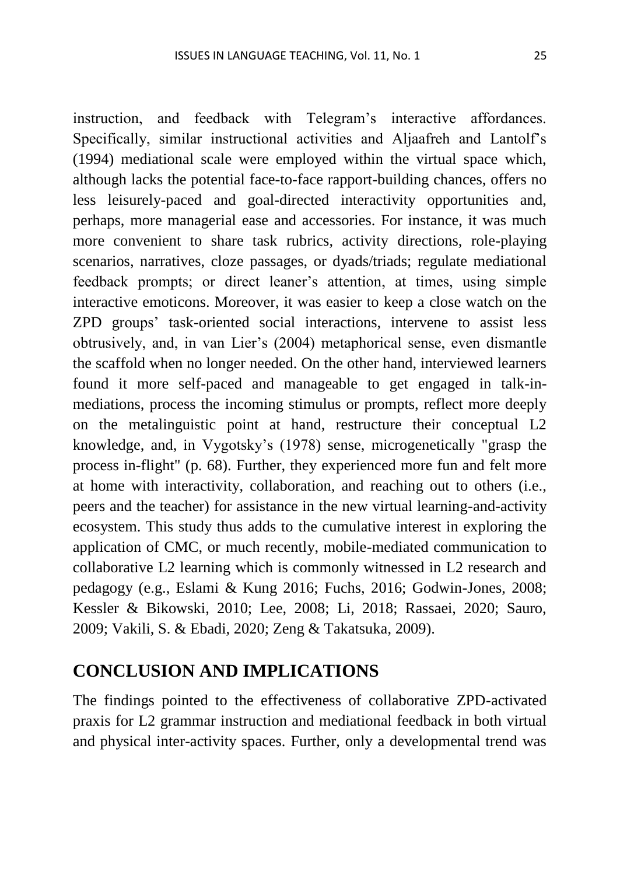instruction, and feedback with Telegram's interactive affordances. Specifically, similar instructional activities and Aljaafreh and Lantolf's (1994) mediational scale were employed within the virtual space which, although lacks the potential face-to-face rapport-building chances, offers no less leisurely-paced and goal-directed interactivity opportunities and, perhaps, more managerial ease and accessories. For instance, it was much more convenient to share task rubrics, activity directions, role-playing scenarios, narratives, cloze passages, or dyads/triads; regulate mediational feedback prompts; or direct leaner's attention, at times, using simple interactive emoticons. Moreover, it was easier to keep a close watch on the ZPD groups' task-oriented social interactions, intervene to assist less obtrusively, and, in van Lier's (2004) metaphorical sense, even dismantle the scaffold when no longer needed. On the other hand, interviewed learners found it more self-paced and manageable to get engaged in talk-inmediations, process the incoming stimulus or prompts, reflect more deeply on the metalinguistic point at hand, restructure their conceptual L2 knowledge, and, in Vygotsky's (1978) sense, microgenetically "grasp the process in-flight" (p. 68). Further, they experienced more fun and felt more at home with interactivity, collaboration, and reaching out to others (i.e., peers and the teacher) for assistance in the new virtual learning-and-activity ecosystem. This study thus adds to the cumulative interest in exploring the application of CMC, or much recently, mobile-mediated communication to collaborative L2 learning which is commonly witnessed in L2 research and pedagogy (e.g., Eslami & Kung 2016; Fuchs, 2016; Godwin-Jones, 2008; Kessler & Bikowski, 2010; Lee, 2008; Li, 2018; Rassaei, 2020; Sauro, 2009; Vakili, S. & Ebadi, 2020; Zeng & Takatsuka, 2009).

# **CONCLUSION AND IMPLICATIONS**

The findings pointed to the effectiveness of collaborative ZPD-activated praxis for L2 grammar instruction and mediational feedback in both virtual and physical inter-activity spaces. Further, only a developmental trend was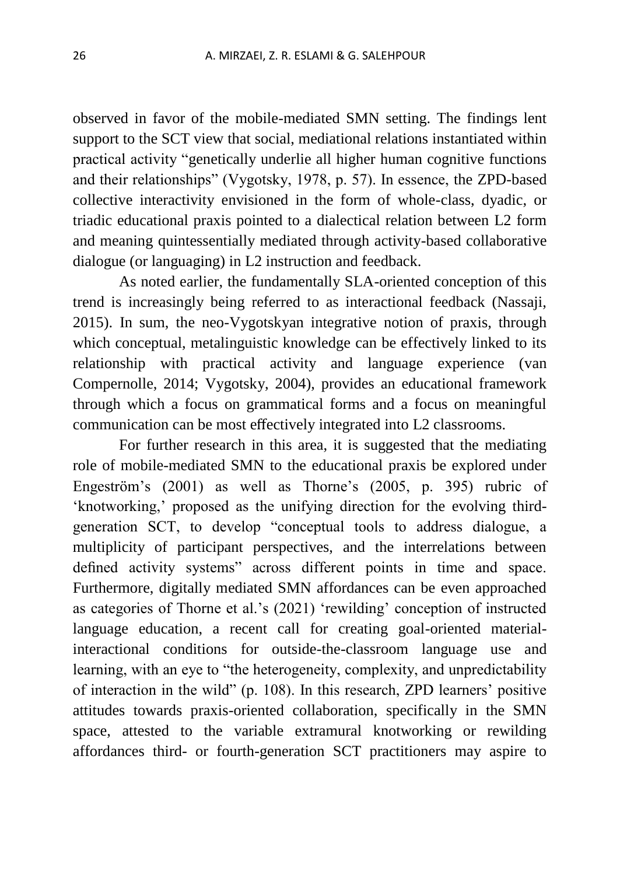observed in favor of the mobile-mediated SMN setting. The findings lent support to the SCT view that social, mediational relations instantiated within practical activity "genetically underlie all higher human cognitive functions and their relationships" (Vygotsky, 1978, p. 57). In essence, the ZPD-based collective interactivity envisioned in the form of whole-class, dyadic, or triadic educational praxis pointed to a dialectical relation between L2 form and meaning quintessentially mediated through activity-based collaborative dialogue (or languaging) in L2 instruction and feedback.

As noted earlier, the fundamentally SLA-oriented conception of this trend is increasingly being referred to as interactional feedback (Nassaji, 2015). In sum, the neo-Vygotskyan integrative notion of praxis, through which conceptual, metalinguistic knowledge can be effectively linked to its relationship with practical activity and language experience (van Compernolle, 2014; Vygotsky, 2004), provides an educational framework through which a focus on grammatical forms and a focus on meaningful communication can be most effectively integrated into L2 classrooms.

For further research in this area, it is suggested that the mediating role of mobile-mediated SMN to the educational praxis be explored under Engeström's (2001) as well as Thorne's (2005, p. 395) rubric of 'knotworking,' proposed as the unifying direction for the evolving thirdgeneration SCT, to develop "conceptual tools to address dialogue, a multiplicity of participant perspectives, and the interrelations between defined activity systems" across different points in time and space. Furthermore, digitally mediated SMN affordances can be even approached as categories of Thorne et al.'s (2021) 'rewilding' conception of instructed language education, a recent call for creating goal-oriented materialinteractional conditions for outside-the-classroom language use and learning, with an eye to "the heterogeneity, complexity, and unpredictability of interaction in the wild" (p. 108). In this research, ZPD learners' positive attitudes towards praxis-oriented collaboration, specifically in the SMN space, attested to the variable extramural knotworking or rewilding affordances third- or fourth-generation SCT practitioners may aspire to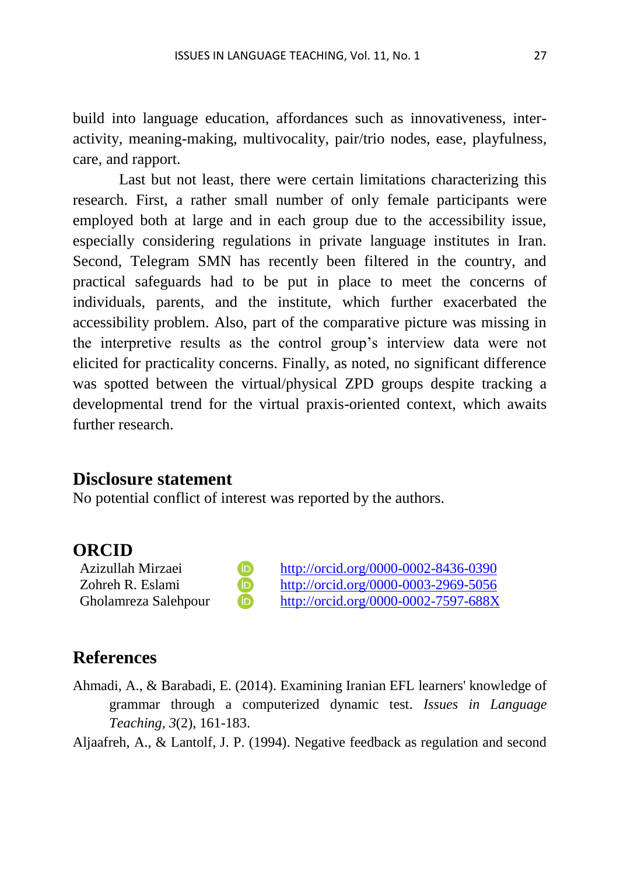build into language education, affordances such as innovativeness, interactivity, meaning-making, multivocality, pair/trio nodes, ease, playfulness, care, and rapport.

Last but not least, there were certain limitations characterizing this research. First, a rather small number of only female participants were employed both at large and in each group due to the accessibility issue, especially considering regulations in private language institutes in Iran. Second, Telegram SMN has recently been filtered in the country, and practical safeguards had to be put in place to meet the concerns of individuals, parents, and the institute, which further exacerbated the accessibility problem. Also, part of the comparative picture was missing in the interpretive results as the control group's interview data were not elicited for practicality concerns. Finally, as noted, no significant difference was spotted between the virtual/physical ZPD groups despite tracking a developmental trend for the virtual praxis-oriented context, which awaits further research.

### **Disclosure statement**

No potential conflict of interest was reported by the authors.

### **ORCID**

Azizullah Mirzaei **http://orcid.org/0000-0002-8436-0390** Zohreh R. Eslami <http://orcid.org/0000-0003-2969-5056> Gholamreza Salehpour **D** <http://orcid.org/0000-0002-7597-688X>

# **References**

Ahmadi, A., & Barabadi, E. (2014). [Examining Iranian EFL learners' knowledge of](https://ilt.atu.ac.ir/article_1759_e685ee9ad14a6941bd9405ef06c275c5.pdf)  [grammar through a computerized dynamic test.](https://ilt.atu.ac.ir/article_1759_e685ee9ad14a6941bd9405ef06c275c5.pdf) *Issues in Language Teaching, 3*(2), 161-183.

Aljaafreh, A., & Lantolf, J. P. (1994). Negative feedback as regulation and second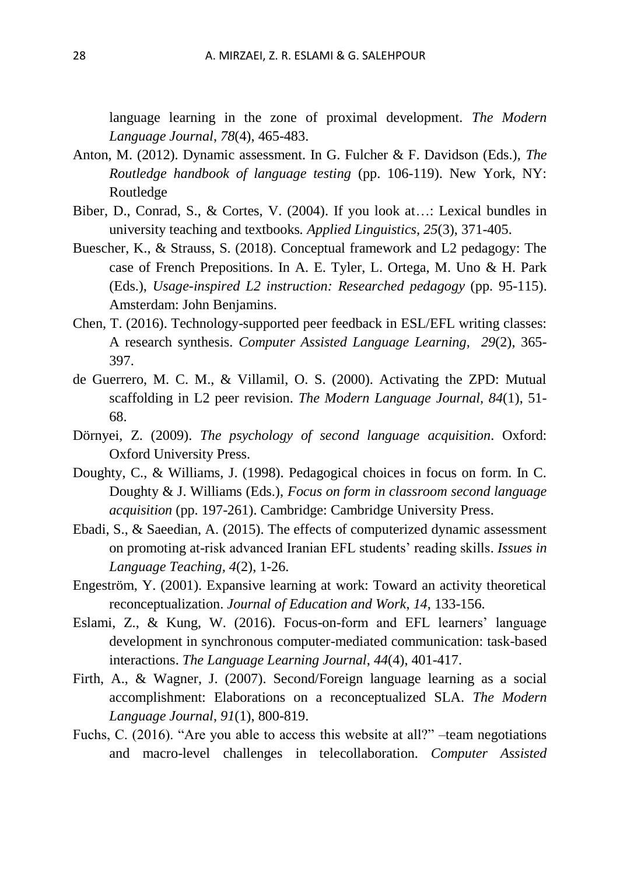language learning in the zone of proximal development. *The Modern Language Journal*, *78*(4), 465-483.

- Anton, M. (2012). Dynamic assessment. In G. Fulcher & F. Davidson (Eds.), *The Routledge handbook of language testing* (pp. 106-119). New York, NY: Routledge
- Biber, D., Conrad, S., & Cortes, V. (2004). If you look at…: Lexical bundles in university teaching and textbooks*. Applied Linguistics, 25*(3), 371-405.
- Buescher, K., & Strauss, S. (2018). Conceptual framework and L2 pedagogy: The case of French Prepositions. In A. E. Tyler, L. Ortega, M. Uno & H. Park (Eds.), *Usage-inspired L2 instruction: Researched pedagogy* (pp. 95-115). Amsterdam: John Benjamins.
- Chen, T. (2016). Technology-supported peer feedback in ESL/EFL writing classes: A research synthesis. *[Computer Assisted Language Learning,](https://www.tandfonline.com/toc/ncal20/current) 29*(2), 365- 397.
- de Guerrero, M. C. M., & Villamil, O. S. (2000). Activating the ZPD: Mutual scaffolding in L2 peer revision. *The Modern Language Journal, 84*(1), 51- 68.
- Dörnyei, Z. (2009). *The psychology of second language acquisition*. Oxford: Oxford University Press.
- Doughty, C., & Williams, J. (1998). Pedagogical choices in focus on form. In C. Doughty & J. Williams (Eds.), *Focus on form in classroom second language acquisition* (pp. 197-261). Cambridge: Cambridge University Press.
- Ebadi, S., & Saeedian, A. (2015). [The effects of computerized dynamic assessment](https://ilt.atu.ac.ir/article_7224_3940b00712a60c1323d452707024b625.pdf)  [on promoting at-risk advanced Iranian EFL students' reading skills.](https://ilt.atu.ac.ir/article_7224_3940b00712a60c1323d452707024b625.pdf) *Issues in Language Teaching, 4*(2), 1-26.
- Engeström, Y. (2001). Expansive learning at work: Toward an activity theoretical reconceptualization. *Journal of Education and Work*, *14*, 133-156.
- Eslami, Z., & Kung, W. (2016). [Focus-on-form and EFL learners' language](https://www.tandfonline.com/doi/abs/10.1080/09571736.2016.1227219)  [development in synchronous computer-mediated communication: task-based](https://www.tandfonline.com/doi/abs/10.1080/09571736.2016.1227219)  [interactions.](https://www.tandfonline.com/doi/abs/10.1080/09571736.2016.1227219) *The Language Learning Journal*, *44*(4), 401-417.
- Firth, A., & Wagner, J. (2007). Second/Foreign language learning as a social accomplishment: Elaborations on a reconceptualized SLA. *The Modern Language Journal*, *91*(1), 800-819.
- Fuchs, C. (2016). "Are you able to access this website at all?" –team negotiations and macro-level challenges in telecollaboration. *[Computer Assisted](https://www.tandfonline.com/toc/ncal20/current)*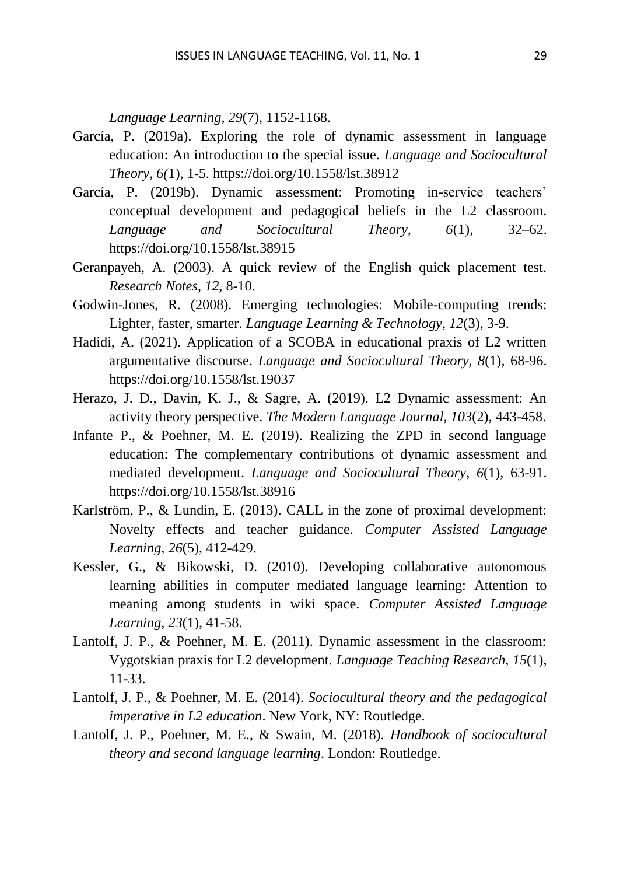*Language Learning, 29*(7), 1152-1168.

- García, P. (2019a). Exploring the role of dynamic assessment in language education: An introduction to the special issue. *Language and Sociocultural Theory, 6(*1), 1-5.<https://doi.org/10.1558/lst.38912>
- García, P. (2019b). Dynamic assessment: Promoting in-service teachers' conceptual development and pedagogical beliefs in the L2 classroom. *Language and Sociocultural Theory, 6*(1), 32–62. https://doi.org/10.1558/lst.38915
- Geranpayeh, A. (2003). A quick review of the English quick placement test. *Research Notes*, *12*, 8-10.
- Godwin-Jones, R. (2008). Emerging technologies: Mobile-computing trends: Lighter, faster, smarter. *Language Learning & Technology, 12*(3), 3-9.
- Hadidi, A. (2021). Application of a SCOBA in educational praxis of L2 written argumentative discourse. *Language and Sociocultural Theory, 8*(1), 68-96. <https://doi.org/10.1558/lst.19037>
- Herazo, J. D., Davin, K. J., & Sagre, A. (2019). L2 Dynamic assessment: An activity theory perspective. *The Modern Language Journal, 103*(2), 443-458.
- Infante P., & Poehner, M. E. (2019). Realizing the ZPD in second language education: The complementary contributions of dynamic assessment and mediated development. *Language and Sociocultural Theory*, *6*(1), 63-91. https://doi.org/10.1558/lst.38916
- [Karlström, P., &](https://www.tandfonline.com/author/Karlstr%C3%B6m%2C+Petter) Lundin, E. (2013). CALL in the zone of proximal development: Novelty effects and teacher guidance. *[Computer Assisted Language](https://www.tandfonline.com/toc/ncal20/current)  [Learning, 2](https://www.tandfonline.com/toc/ncal20/current)6*(5), 412-429.
- Kessler, G., & Bikowski, D. (2010). Developing collaborative autonomous learning abilities in computer mediated language learning: Attention to meaning among students in wiki space. *Computer Assisted Language Learning, 23*(1), 41-58.
- Lantolf, J. P., & Poehner, M. E. (2011). Dynamic assessment in the classroom: Vygotskian praxis for L2 development. *Language Teaching Research*, *15*(1), 11-33.
- Lantolf, J. P., & Poehner, M. E. (2014). *Sociocultural theory and the pedagogical imperative in L2 education*. New York, NY: Routledge.
- Lantolf, J. P., Poehner, M. E., & Swain, M. (2018). *Handbook of sociocultural theory and second language learning*. London: Routledge.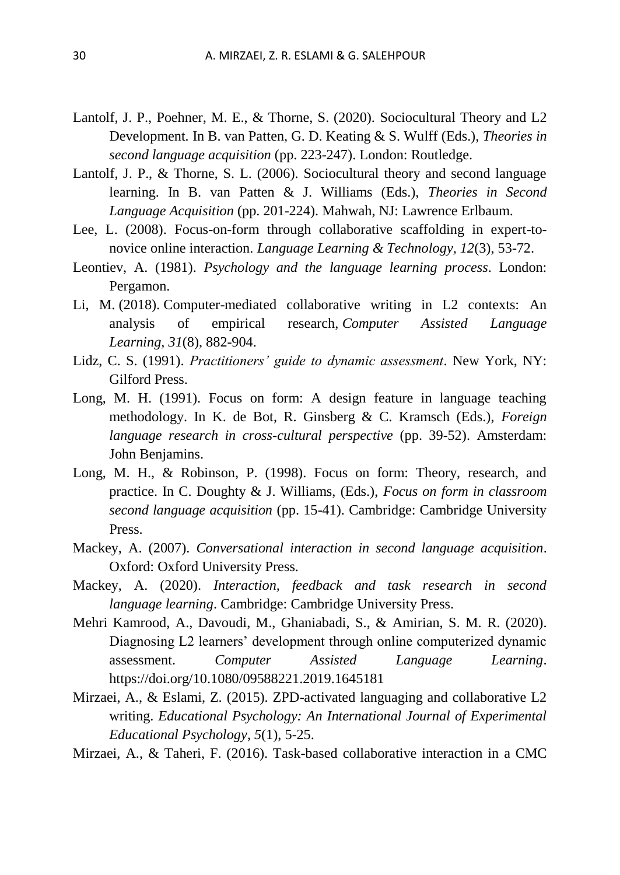- Lantolf, J. P., Poehner, M. E., & Thorne, S. (2020). Sociocultural Theory and L2 Development*.* In B. van Patten, G. D. Keating & S. Wulff (Eds.), *[Theories in](https://www.taylorfrancis.com/books/mono/10.4324/9780429503986/theories-second-language-acquisition?refId=cbdcb49c-42f9-48b5-911e-a0f8a73c3434)  [second language acquisition](https://www.taylorfrancis.com/books/mono/10.4324/9780429503986/theories-second-language-acquisition?refId=cbdcb49c-42f9-48b5-911e-a0f8a73c3434)* (pp. 223-247). London: Routledge.
- Lantolf, J. P., & Thorne, S. L. (2006). Sociocultural theory and second language learning. In B. van Patten & J. Williams (Eds.), *Theories in Second Language Acquisition* (pp. 201-224). Mahwah, NJ: Lawrence Erlbaum.
- Lee, L. (2008). Focus-on-form through collaborative scaffolding in expert-tonovice online interaction. *Language Learning & Technology, 12*(3), 53-72.
- Leontiev, A. (1981). *Psychology and the language learning process*. London: Pergamon.
- Li, M. (2018). Computer-mediated collaborative writing in L2 contexts: An analysis of empirical research, *Computer Assisted Language Learning*, *31*(8), 882-904.
- Lidz, C. S. (1991). *Practitioners' guide to dynamic assessment*. New York, NY: Gilford Press.
- Long, M. H. (1991). Focus on form: A design feature in language teaching methodology. In K. de Bot, R. Ginsberg & C. Kramsch (Eds.), *Foreign language research in cross-cultural perspective* (pp. 39-52). Amsterdam: John Benjamins.
- Long, M. H., & Robinson, P. (1998). Focus on form: Theory, research, and practice. In C. Doughty & J. Williams, (Eds.), *Focus on form in classroom second language acquisition* (pp. 15-41). Cambridge: Cambridge University Press.
- Mackey, A. (2007). *Conversational interaction in second language acquisition*. Oxford: Oxford University Press.
- Mackey, A. (2020). *Interaction, feedback and task research in second language learning*. Cambridge: Cambridge University Press.
- Mehri Kamrood, A., Davoudi, M., Ghaniabadi, S., & Amirian, S. M. R. (2020). Diagnosing L2 learners' development through online computerized dynamic assessment. *Computer Assisted Language Learning*. <https://doi.org/10.1080/09588221.2019.1645181>
- Mirzaei, A., & Eslami, Z. (2015). ZPD-activated languaging and collaborative L2 writing. *Educational Psychology: An International Journal of Experimental Educational Psychology*, *5*(1), 5-25.
- Mirzaei, A., & Taheri, F. (2016). Task-based collaborative interaction in a CMC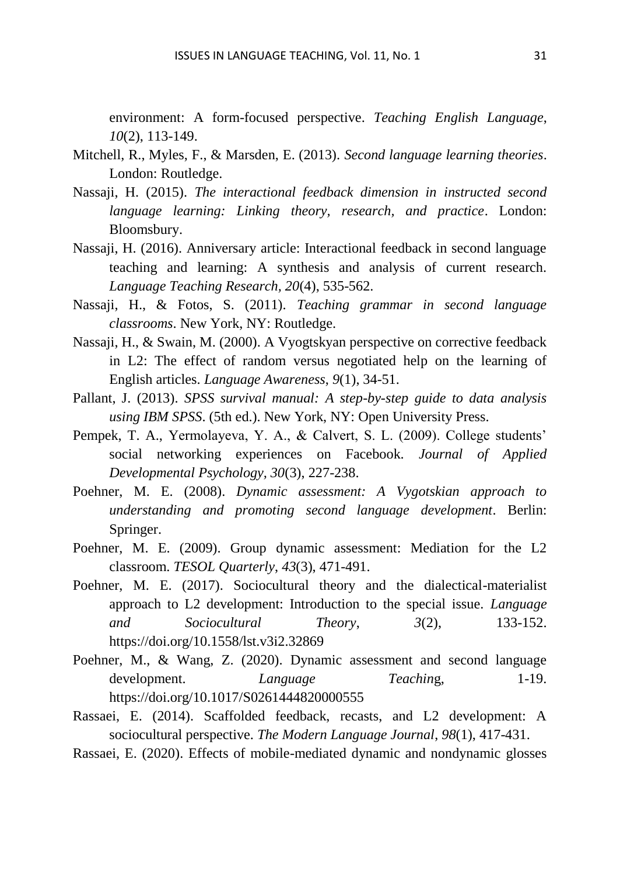environment: A form-focused perspective. *Teaching English Language*, *10*(2), 113-149.

- Mitchell, R., Myles, F., & Marsden, E. (2013). *Second language learning theories*. London: Routledge.
- Nassaji, H. (2015). *The interactional feedback dimension in instructed second language learning: Linking theory, research, and practice*. London: Bloomsbury.
- Nassaji, H. (2016). Anniversary article: Interactional feedback in second language teaching and learning: A synthesis and analysis of current research. *Language Teaching Research, 20*(4), 535-562.
- Nassaji, H., & Fotos, S. (2011). *Teaching grammar in second language classrooms*. New York, NY: Routledge.
- Nassaji, H., & Swain, M. (2000). A Vyogtskyan perspective on corrective feedback in L2: The effect of random versus negotiated help on the learning of English articles. *Language Awareness*, *9*(1), 34-51.
- Pallant, J. (2013). *SPSS survival manual: A step-by-step guide to data analysis using IBM SPSS*. (5th ed.). New York, NY: Open University Press.
- Pempek, T. A., Yermolayeva, Y. A., & Calvert, S. L. (2009). College students' social networking experiences on Facebook. *Journal of Applied Developmental Psychology, 30*(3), 227-238.
- Poehner, M. E. (2008). *Dynamic assessment: A Vygotskian approach to understanding and promoting second language development*. Berlin: Springer.
- Poehner, M. E. (2009). Group dynamic assessment: Mediation for the L2 classroom. *TESOL Quarterly*, *43*(3), 471-491.
- Poehner, M. E. (2017). Sociocultural theory and the dialectical-materialist approach to L2 development: Introduction to the special issue. *Language and Sociocultural Theory*, *3*(2), 133-152. <https://doi.org/10.1558/lst.v3i2.32869>
- Poehner, M., & Wang, Z. (2020). Dynamic assessment and second language development. *Language Teaching*, 1-19. <https://doi.org/10.1017/S0261444820000555>
- Rassaei, E. (2014). Scaffolded feedback, recasts, and L2 development: A sociocultural perspective. *The Modern Language Journal*, *98*(1), 417-431.
- Rassaei, E. (2020). Effects of mobile-mediated dynamic and nondynamic glosses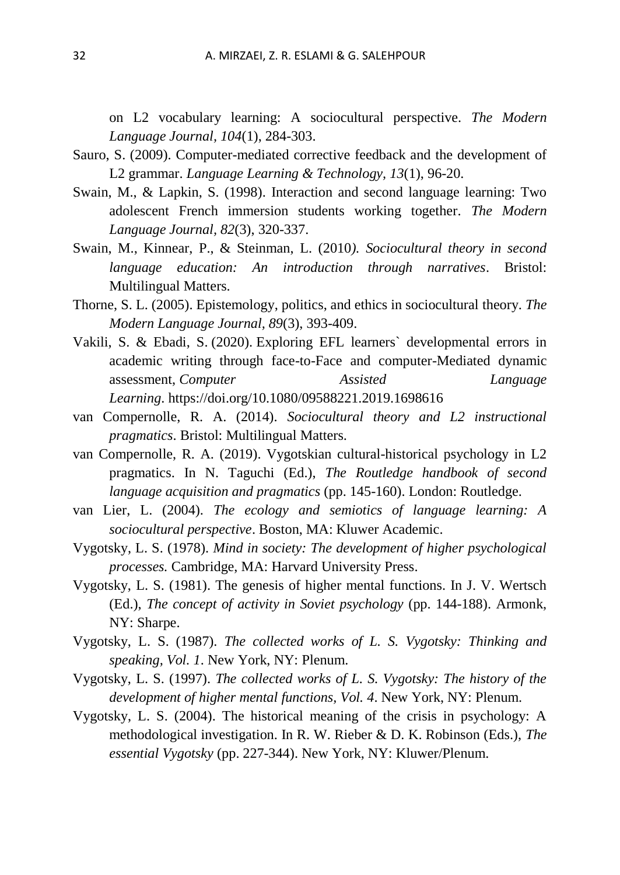on L2 vocabulary learning: A sociocultural perspective. *The Modern Language Journal, 104*(1), 284-303.

- Sauro, S. (2009). Computer-mediated corrective feedback and the development of L2 grammar. *Language Learning & Technology, 13*(1), 96-20.
- Swain, M., & Lapkin, S. (1998). Interaction and second language learning: Two adolescent French immersion students working together. *The Modern Language Journal, 82*(3), 320-337.
- Swain, M., Kinnear, P., & Steinman, L. (2010*). Sociocultural theory in second language education: An introduction through narratives*. Bristol: Multilingual Matters.
- Thorne, S. L. (2005). Epistemology, politics, and ethics in sociocultural theory. *The Modern Language Journal, 89*(3), 393-409.
- Vakili, S. & Ebadi, S. (2020). Exploring EFL learners` developmental errors in academic writing through face-to-Face and computer-Mediated dynamic assessment, *Computer Assisted Language Learning*. <https://doi.org/10.1080/09588221.2019.1698616>
- van Compernolle, R. A. (2014). *Sociocultural theory and L2 instructional pragmatics*. Bristol: Multilingual Matters.
- van Compernolle, R. A. (2019). Vygotskian cultural-historical psychology in L2 pragmatics. In N. Taguchi (Ed.), *The Routledge handbook of second language acquisition and pragmatics* (pp. 145-160). London: Routledge.
- van Lier, L. (2004). *The ecology and semiotics of language learning: A sociocultural perspective*. Boston, MA: Kluwer Academic.
- Vygotsky, L. S. (1978). *Mind in society: The development of higher psychological processes.* Cambridge, MA: Harvard University Press.
- Vygotsky, L. S. (1981). The genesis of higher mental functions. In J. V. Wertsch (Ed.), *The concept of activity in Soviet psychology* (pp. 144-188). Armonk, NY: Sharpe.
- Vygotsky, L. S. (1987). *The collected works of L. S. Vygotsky: Thinking and speaking, Vol. 1*. New York, NY: Plenum.
- Vygotsky, L. S. (1997). *The collected works of L. S. Vygotsky: The history of the development of higher mental functions, Vol. 4*. New York, NY: Plenum.
- Vygotsky, L. S. (2004). The historical meaning of the crisis in psychology: A methodological investigation. In R. W. Rieber & D. K. Robinson (Eds.), *The essential Vygotsky* (pp. 227-344). New York, NY: Kluwer/Plenum.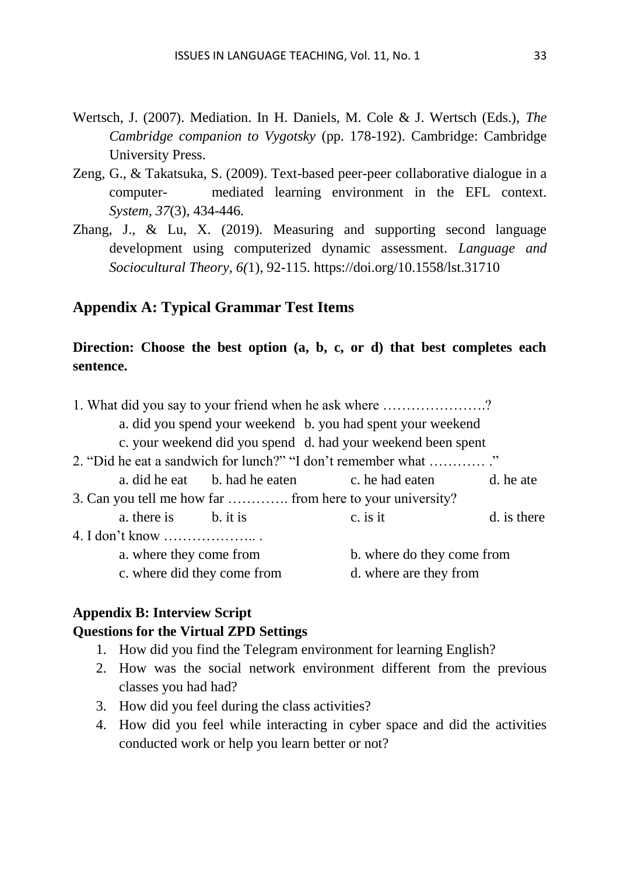- Wertsch, J. (2007). Mediation. In H. Daniels, M. Cole & J. Wertsch (Eds.), *The Cambridge companion to Vygotsky* (pp. 178-192). Cambridge: Cambridge University Press.
- Zeng, G., & Takatsuka, S. (2009). Text-based peer-peer collaborative dialogue in a computer- mediated learning environment in the EFL context. *System, 37*(3), 434-446.
- Zhang, J., & Lu, X. (2019). Measuring and supporting second language development using computerized dynamic assessment. *Language and Sociocultural Theory, 6(*1), 92-115. https://doi.org/10.1558/lst.31710

#### **Appendix A: Typical Grammar Test Items**

### **Direction: Choose the best option (a, b, c, or d) that best completes each sentence.**

| 1. What did you say to your friend when he ask where ?       |          |                            |  |  |  |  |
|--------------------------------------------------------------|----------|----------------------------|--|--|--|--|
| a. did you spend your weekend b. you had spent your weekend  |          |                            |  |  |  |  |
| c. your weekend did you spend d. had your weekend been spent |          |                            |  |  |  |  |
| 2. "Did he eat a sandwich for lunch?" "I don't remember what |          |                            |  |  |  |  |
| a. did he eat b. had he eaten c. he had eaten d. he ate      |          |                            |  |  |  |  |
| 3. Can you tell me how far  from here to your university?    |          |                            |  |  |  |  |
| a. there is b. it is                                         | c. is it | d. is there                |  |  |  |  |
| 4. I don't know                                              |          |                            |  |  |  |  |
| a. where they come from                                      |          | b. where do they come from |  |  |  |  |
| c. where did they come from                                  |          | d. where are they from     |  |  |  |  |

#### **Appendix B: Interview Script Questions for the Virtual ZPD Settings**

- 1. How did you find the Telegram environment for learning English?
- 2. How was the social network environment different from the previous classes you had had?
- 3. How did you feel during the class activities?
- 4. How did you feel while interacting in cyber space and did the activities conducted work or help you learn better or not?